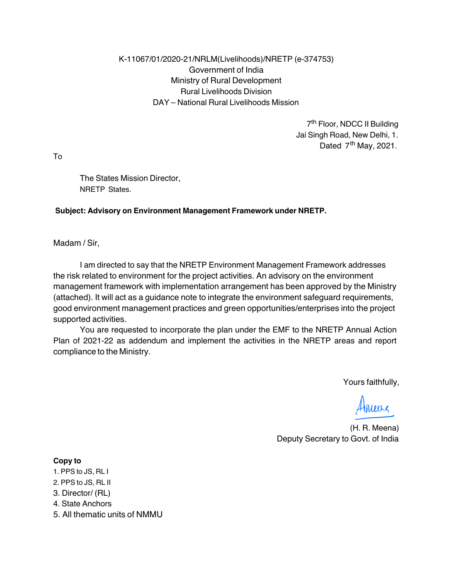#### K-11067/01/2020-21/NRLM(Livelihoods)/NRETP (e-374753) Government of India Ministry of Rural Development Rural Livelihoods Division DAY – National Rural Livelihoods Mission

7th Floor, NDCC II Building Jai Singh Road, New Delhi, 1. Dated  $7<sup>th</sup>$  May, 2021.

To

The States Mission Director, NRETP States.

#### Subject: Advisory on Environment Management Framework under NRETP.

Madam / Sir,

I am directed to say that the NRETP Environment Management Framework addresses the risk related to environment for the project activities. An advisory on the environment management framework with implementation arrangement has been approved by the Ministry (attached). It will act as a guidance note to integrate the environment safeguard requirements, good environment management practices and green opportunities/enterprises into the project supported activities.

You are requested to incorporate the plan under the EMF to the NRETP Annual Action Plan of 2021-22 as addendum and implement the activities in the NRETP areas and report compliance to the Ministry.

Yours faithfully,

Aures

(H. R. Meena) Deputy Secretary to Govt. of India

#### Copy to

- 1. PPS to JS, RL I
- 2. PPS to JS, RL II
- 3. Director/ (RL)
- 4. State Anchors
- 5. All thematic units of NMMU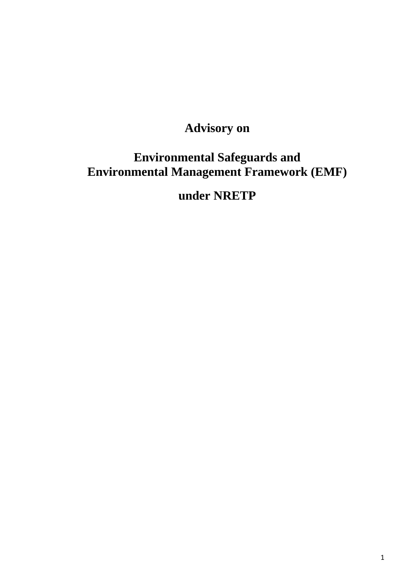# **Advisory on**

# **Environmental Safeguards and Environmental Management Framework (EMF)**

# **under NRETP**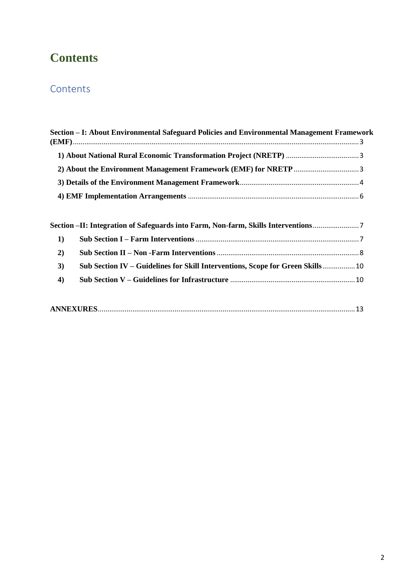# **Contents**

# **Contents**

| Section – I: About Environmental Safeguard Policies and Environmental Management Framework |  |
|--------------------------------------------------------------------------------------------|--|
|                                                                                            |  |
|                                                                                            |  |
|                                                                                            |  |
|                                                                                            |  |

|            | Section -II: Integration of Safeguards into Farm, Non-farm, Skills Interventions |  |
|------------|----------------------------------------------------------------------------------|--|
| $\vert$ 1) |                                                                                  |  |
| 2)         |                                                                                  |  |
| 3)         | Sub Section IV – Guidelines for Skill Interventions, Scope for Green Skills 10   |  |
| 4)         |                                                                                  |  |
|            |                                                                                  |  |

|--|--|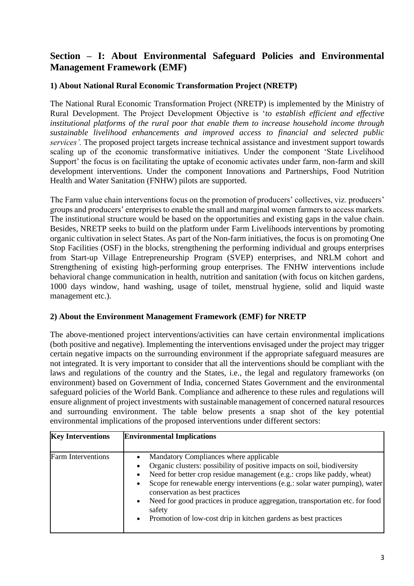# **Section – I: About Environmental Safeguard Policies and Environmental Management Framework (EMF)**

#### **1) About National Rural Economic Transformation Project (NRETP)**

The National Rural Economic Transformation Project (NRETP) is implemented by the Ministry of Rural Development. The Project Development Objective is '*to establish efficient and effective institutional platforms of the rural poor that enable them to increase household income through sustainable livelihood enhancements and improved access to financial and selected public services'.* The proposed project targets increase technical assistance and investment support towards scaling up of the economic transformative initiatives. Under the component 'State Livelihood Support' the focus is on facilitating the uptake of economic activates under farm, non-farm and skill development interventions. Under the component Innovations and Partnerships, Food Nutrition Health and Water Sanitation (FNHW) pilots are supported.

The Farm value chain interventions focus on the promotion of producers' collectives, viz. producers' groups and producers' enterprises to enable the small and marginal women farmers to access markets. The institutional structure would be based on the opportunities and existing gaps in the value chain. Besides, NRETP seeks to build on the platform under Farm Livelihoods interventions by promoting organic cultivation in select States. As part of the Non-farm initiatives, the focus is on promoting One Stop Facilities (OSF) in the blocks, strengthening the performing individual and groups enterprises from Start-up Village Entrepreneurship Program (SVEP) enterprises, and NRLM cohort and Strengthening of existing high-performing group enterprises. The FNHW interventions include behavioral change communication in health, nutrition and sanitation (with focus on kitchen gardens, 1000 days window, hand washing, usage of toilet, menstrual hygiene, solid and liquid waste management etc.).

#### **2) About the Environment Management Framework (EMF) for NRETP**

The above-mentioned project interventions/activities can have certain environmental implications (both positive and negative). Implementing the interventions envisaged under the project may trigger certain negative impacts on the surrounding environment if the appropriate safeguard measures are not integrated. It is very important to consider that all the interventions should be compliant with the laws and regulations of the country and the States, i.e., the legal and regulatory frameworks (on environment) based on Government of India, concerned States Government and the environmental safeguard policies of the World Bank. Compliance and adherence to these rules and regulations will ensure alignment of project investments with sustainable management of concerned natural resources and surrounding environment. The table below presents a snap shot of the key potential environmental implications of the proposed interventions under different sectors:

| <b>Key Interventions</b>  | <b>Environmental Implications</b>                                                                                                                                                                                                                                                                                                                                                                                                                                                       |
|---------------------------|-----------------------------------------------------------------------------------------------------------------------------------------------------------------------------------------------------------------------------------------------------------------------------------------------------------------------------------------------------------------------------------------------------------------------------------------------------------------------------------------|
| <b>Farm Interventions</b> | Mandatory Compliances where applicable<br>Organic clusters: possibility of positive impacts on soil, biodiversity<br>Need for better crop residue management (e.g.: crops like paddy, wheat)<br>Scope for renewable energy interventions (e.g.: solar water pumping), water<br>conservation as best practices<br>Need for good practices in produce aggregation, transportation etc. for food<br>safety<br>Promotion of low-cost drip in kitchen gardens as best practices<br>$\bullet$ |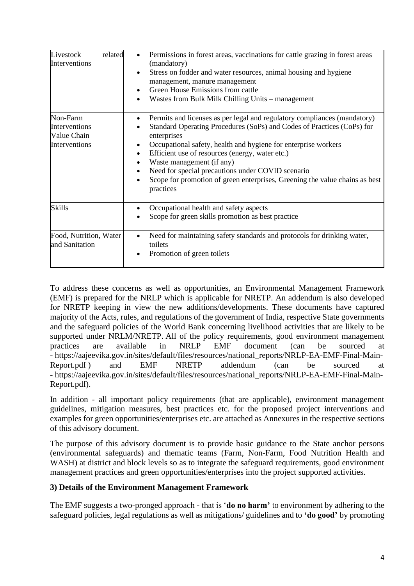| Livestock<br>related<br>Interventions                     | Permissions in forest areas, vaccinations for cattle grazing in forest areas<br>(mandatory)<br>Stress on fodder and water resources, animal housing and hygiene<br>management, manure management<br>Green House Emissions from cattle<br>Wastes from Bulk Milk Chilling Units – management                                                                                                                                                                                        |
|-----------------------------------------------------------|-----------------------------------------------------------------------------------------------------------------------------------------------------------------------------------------------------------------------------------------------------------------------------------------------------------------------------------------------------------------------------------------------------------------------------------------------------------------------------------|
| Non-Farm<br>Interventions<br>Value Chain<br>Interventions | Permits and licenses as per legal and regulatory compliances (mandatory)<br>Standard Operating Procedures (SoPs) and Codes of Practices (CoPs) for<br>enterprises<br>Occupational safety, health and hygiene for enterprise workers<br>Efficient use of resources (energy, water etc.)<br>$\bullet$<br>Waste management (if any)<br>Need for special precautions under COVID scenario<br>Scope for promotion of green enterprises, Greening the value chains as best<br>practices |
| <b>Skills</b>                                             | Occupational health and safety aspects<br>$\bullet$<br>Scope for green skills promotion as best practice                                                                                                                                                                                                                                                                                                                                                                          |
| Food, Nutrition, Water<br>and Sanitation                  | Need for maintaining safety standards and protocols for drinking water,<br>toilets<br>Promotion of green toilets                                                                                                                                                                                                                                                                                                                                                                  |

To address these concerns as well as opportunities, an Environmental Management Framework (EMF) is prepared for the NRLP which is applicable for NRETP. An addendum is also developed for NRETP keeping in view the new additions/developments. These documents have captured majority of the Acts, rules, and regulations of the government of India, respective State governments and the safeguard policies of the World Bank concerning livelihood activities that are likely to be supported under NRLM/NRETP. All of the policy requirements, good environment management practices are available in NRLP EMF document (can be sourced at - https://aajeevika.gov.in/sites/default/files/resources/national\_reports/NRLP-EA-EMF-Final-Main-Report.pdf ) and EMF NRETP addendum (can be sourced at - https://aajeevika.gov.in/sites/default/files/resources/national\_reports/NRLP-EA-EMF-Final-Main-Report.pdf).

In addition - all important policy requirements (that are applicable), environment management guidelines, mitigation measures, best practices etc. for the proposed project interventions and examples for green opportunities/enterprises etc. are attached as Annexures in the respective sections of this advisory document.

The purpose of this advisory document is to provide basic guidance to the State anchor persons (environmental safeguards) and thematic teams (Farm, Non-Farm, Food Nutrition Health and WASH) at district and block levels so as to integrate the safeguard requirements, good environment management practices and green opportunities/enterprises into the project supported activities.

#### **3) Details of the Environment Management Framework**

The EMF suggests a two-pronged approach **-** that is '**do no harm'** to environment by adhering to the safeguard policies, legal regulations as well as mitigations/ guidelines and to **'do good'** by promoting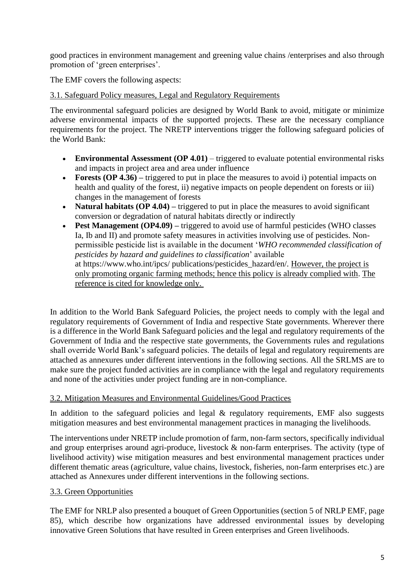good practices in environment management and greening value chains /enterprises and also through promotion of 'green enterprises'.

The EMF covers the following aspects:

#### 3.1. Safeguard Policy measures, Legal and Regulatory Requirements

The environmental safeguard policies are designed by World Bank to avoid, mitigate or minimize adverse environmental impacts of the supported projects. These are the necessary compliance requirements for the project. The NRETP interventions trigger the following safeguard policies of the World Bank:

- **Environmental Assessment (OP 4.01)** triggered to evaluate potential environmental risks and impacts in project area and area under influence
- **Forests (OP 4.36)** triggered to put in place the measures to avoid i) potential impacts on health and quality of the forest, ii) negative impacts on people dependent on forests or iii) changes in the management of forests
- **Natural habitats (OP 4.04)** triggered to put in place the measures to avoid significant conversion or degradation of natural habitats directly or indirectly
- **Pest Management (OP4.09)** triggered to avoid use of harmful pesticides (WHO classes Ia, Ib and II) and promote safety measures in activities involving use of pesticides. Nonpermissible pesticide list is available in the document '*WHO recommended classification of pesticides by hazard and guidelines to classification*' available at https://www.who.int/ipcs/ publications/pesticides\_hazard/en/. However, the project is only promoting organic farming methods; hence this policy is already complied with. The reference is cited for knowledge only.

In addition to the World Bank Safeguard Policies, the project needs to comply with the legal and regulatory requirements of Government of India and respective State governments. Wherever there is a difference in the World Bank Safeguard policies and the legal and regulatory requirements of the Government of India and the respective state governments, the Governments rules and regulations shall override World Bank's safeguard policies. The details of legal and regulatory requirements are attached as annexures under different interventions in the following sections. All the SRLMS are to make sure the project funded activities are in compliance with the legal and regulatory requirements and none of the activities under project funding are in non-compliance.

#### 3.2. Mitigation Measures and Environmental Guidelines/Good Practices

In addition to the safeguard policies and legal  $\&$  regulatory requirements, EMF also suggests mitigation measures and best environmental management practices in managing the livelihoods.

The interventions under NRETP include promotion of farm, non-farm sectors, specifically individual and group enterprises around agri-produce, livestock & non-farm enterprises. The activity (type of livelihood activity) wise mitigation measures and best environmental management practices under different thematic areas (agriculture, value chains, livestock, fisheries, non-farm enterprises etc.) are attached as Annexures under different interventions in the following sections.

#### 3.3. Green Opportunities

The EMF for NRLP also presented a bouquet of Green Opportunities (section 5 of NRLP EMF, page 85), which describe how organizations have addressed environmental issues by developing innovative Green Solutions that have resulted in Green enterprises and Green livelihoods.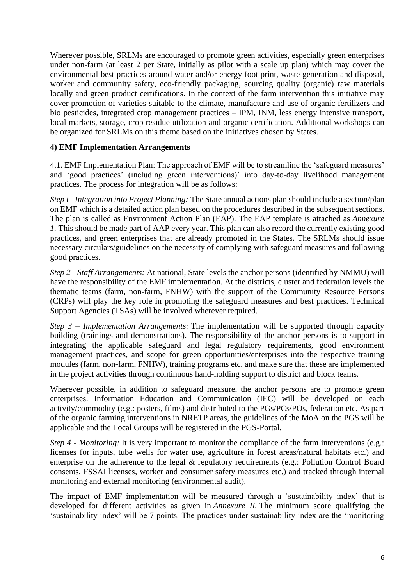Wherever possible, SRLMs are encouraged to promote green activities, especially green enterprises under non-farm (at least 2 per State, initially as pilot with a scale up plan) which may cover the environmental best practices around water and/or energy foot print, waste generation and disposal, worker and community safety, eco-friendly packaging, sourcing quality (organic) raw materials locally and green product certifications. In the context of the farm intervention this initiative may cover promotion of varieties suitable to the climate, manufacture and use of organic fertilizers and bio pesticides, integrated crop management practices – IPM, INM, less energy intensive transport, local markets, storage, crop residue utilization and organic certification. Additional workshops can be organized for SRLMs on this theme based on the initiatives chosen by States.

#### **4) EMF Implementation Arrangements**

4.1. EMF Implementation Plan: The approach of EMF will be to streamline the 'safeguard measures' and 'good practices' (including green interventions)' into day-to-day livelihood management practices. The process for integration will be as follows:

*Step I - Integration into Project Planning:* The State annual actions plan should include a section/plan on EMF which is a detailed action plan based on the procedures described in the subsequent sections. The plan is called as Environment Action Plan (EAP). The EAP template is attached as *Annexure 1.* This should be made part of AAP every year. This plan can also record the currently existing good practices, and green enterprises that are already promoted in the States. The SRLMs should issue necessary circulars/guidelines on the necessity of complying with safeguard measures and following good practices.

*Step 2 - Staff Arrangements:* At national, State levels the anchor persons (identified by NMMU) will have the responsibility of the EMF implementation. At the districts, cluster and federation levels the thematic teams (farm, non-farm, FNHW) with the support of the Community Resource Persons (CRPs) will play the key role in promoting the safeguard measures and best practices. Technical Support Agencies (TSAs) will be involved wherever required.

*Step 3 – Implementation Arrangements:* The implementation will be supported through capacity building (trainings and demonstrations). The responsibility of the anchor persons is to support in integrating the applicable safeguard and legal regulatory requirements, good environment management practices, and scope for green opportunities/enterprises into the respective training modules (farm, non-farm, FNHW), training programs etc. and make sure that these are implemented in the project activities through continuous hand-holding support to district and block teams.

Wherever possible, in addition to safeguard measure, the anchor persons are to promote green enterprises. Information Education and Communication (IEC) will be developed on each activity/commodity (e.g.: posters, films) and distributed to the PGs/PCs/POs, federation etc. As part of the organic farming interventions in NRETP areas, the guidelines of the MoA on the PGS will be applicable and the Local Groups will be registered in the PGS-Portal.

*Step 4 - Monitoring:* It is very important to monitor the compliance of the farm interventions (e.g.: licenses for inputs, tube wells for water use, agriculture in forest areas/natural habitats etc.) and enterprise on the adherence to the legal & regulatory requirements (e.g.: Pollution Control Board consents, FSSAI licenses, worker and consumer safety measures etc.) and tracked through internal monitoring and external monitoring (environmental audit).

The impact of EMF implementation will be measured through a 'sustainability index' that is developed for different activities as given in *Annexure II*. The minimum score qualifying the 'sustainability index' will be 7 points. The practices under sustainability index are the 'monitoring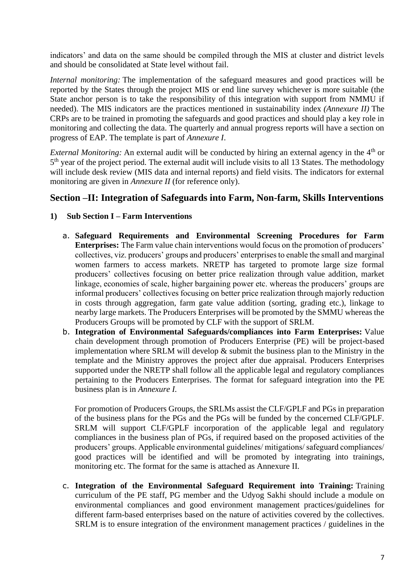indicators' and data on the same should be compiled through the MIS at cluster and district levels and should be consolidated at State level without fail.

*Internal monitoring:* The implementation of the safeguard measures and good practices will be reported by the States through the project MIS or end line survey whichever is more suitable (the State anchor person is to take the responsibility of this integration with support from NMMU if needed). The MIS indicators are the practices mentioned in sustainability index *(Annexure II)* The CRPs are to be trained in promoting the safeguards and good practices and should play a key role in monitoring and collecting the data. The quarterly and annual progress reports will have a section on progress of EAP. The template is part of *Annexure I*.

*External Monitoring:* An external audit will be conducted by hiring an external agency in the 4<sup>th</sup> or 5<sup>th</sup> year of the project period. The external audit will include visits to all 13 States. The methodology will include desk review (MIS data and internal reports) and field visits. The indicators for external monitoring are given in *Annexure II* (for reference only).

# **Section –II: Integration of Safeguards into Farm, Non-farm, Skills Interventions**

#### **1) Sub Section I – Farm Interventions**

- a. **Safeguard Requirements and Environmental Screening Procedures for Farm Enterprises:** The Farm value chain interventions would focus on the promotion of producers' collectives, viz. producers' groups and producers' enterprises to enable the small and marginal women farmers to access markets. NRETP has targeted to promote large size formal producers' collectives focusing on better price realization through value addition, market linkage, economies of scale, higher bargaining power etc. whereas the producers' groups are informal producers' collectives focusing on better price realization through majorly reduction in costs through aggregation, farm gate value addition (sorting, grading etc.), linkage to nearby large markets. The Producers Enterprises will be promoted by the SMMU whereas the Producers Groups will be promoted by CLF with the support of SRLM.
- b. **Integration of Environmental Safeguards/compliances into Farm Enterprises:** Value chain development through promotion of Producers Enterprise (PE) will be project-based implementation where SRLM will develop & submit the business plan to the Ministry in the template and the Ministry approves the project after due appraisal. Producers Enterprises supported under the NRETP shall follow all the applicable legal and regulatory compliances pertaining to the Producers Enterprises. The format for safeguard integration into the PE business plan is in *Annexure I.*

For promotion of Producers Groups, the SRLMs assist the CLF/GPLF and PGs in preparation of the business plans for the PGs and the PGs will be funded by the concerned CLF/GPLF. SRLM will support CLF/GPLF incorporation of the applicable legal and regulatory compliances in the business plan of PGs, if required based on the proposed activities of the producers' groups. Applicable environmental guidelines/ mitigations/ safeguard compliances/ good practices will be identified and will be promoted by integrating into trainings, monitoring etc. The format for the same is attached as Annexure II.

c. **Integration of the Environmental Safeguard Requirement into Training:** Training curriculum of the PE staff, PG member and the Udyog Sakhi should include a module on environmental compliances and good environment management practices/guidelines for different farm-based enterprises based on the nature of activities covered by the collectives. SRLM is to ensure integration of the environment management practices / guidelines in the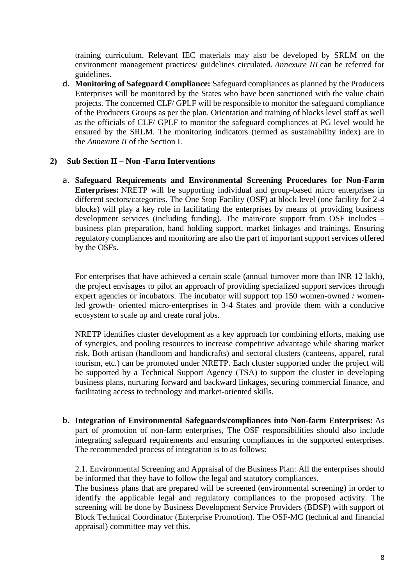training curriculum. Relevant IEC materials may also be developed by SRLM on the environment management practices/ guidelines circulated. *Annexure III* can be referred for guidelines.

d. **Monitoring of Safeguard Compliance:** Safeguard compliances as planned by the Producers Enterprises will be monitored by the States who have been sanctioned with the value chain projects. The concerned CLF/ GPLF will be responsible to monitor the safeguard compliance of the Producers Groups as per the plan. Orientation and training of blocks level staff as well as the officials of CLF/ GPLF to monitor the safeguard compliances at PG level would be ensured by the SRLM. The monitoring indicators (termed as sustainability index) are in the *Annexure II* of the Section I.

#### **2) Sub Section II – Non -Farm Interventions**

a. **Safeguard Requirements and Environmental Screening Procedures for Non-Farm Enterprises:** NRETP will be supporting individual and group-based micro enterprises in different sectors/categories. The One Stop Facility (OSF) at block level (one facility for 2-4 blocks) will play a key role in facilitating the enterprises by means of providing business development services (including funding). The main/core support from OSF includes – business plan preparation, hand holding support, market linkages and trainings. Ensuring regulatory compliances and monitoring are also the part of important support services offered by the OSFs.

For enterprises that have achieved a certain scale (annual turnover more than INR 12 lakh), the project envisages to pilot an approach of providing specialized support services through expert agencies or incubators. The incubator will support top 150 women-owned / womenled growth- oriented micro-enterprises in 3-4 States and provide them with a conducive ecosystem to scale up and create rural jobs.

NRETP identifies cluster development as a key approach for combining efforts, making use of synergies, and pooling resources to increase competitive advantage while sharing market risk. Both artisan (handloom and handicrafts) and sectoral clusters (canteens, apparel, rural tourism, etc.) can be promoted under NRETP. Each cluster supported under the project will be supported by a Technical Support Agency (TSA) to support the cluster in developing business plans, nurturing forward and backward linkages, securing commercial finance, and facilitating access to technology and market-oriented skills.

b. **Integration of Environmental Safeguards/compliances into Non-farm Enterprises:** As part of promotion of non-farm enterprises, The OSF responsibilities should also include integrating safeguard requirements and ensuring compliances in the supported enterprises. The recommended process of integration is to as follows:

2.1. Environmental Screening and Appraisal of the Business Plan: All the enterprises should be informed that they have to follow the legal and statutory compliances.

The business plans that are prepared will be screened (environmental screening) in order to identify the applicable legal and regulatory compliances to the proposed activity. The screening will be done by Business Development Service Providers (BDSP) with support of Block Technical Coordinator (Enterprise Promotion). The OSF-MC (technical and financial appraisal) committee may vet this.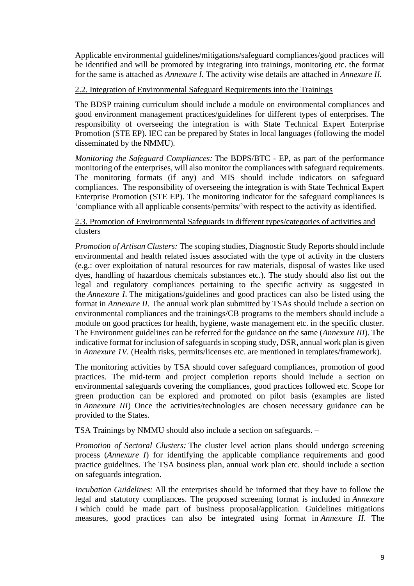Applicable environmental guidelines/mitigations/safeguard compliances/good practices will be identified and will be promoted by integrating into trainings, monitoring etc. the format for the same is attached as *Annexure I.* The activity wise details are attached in *Annexure II.*

#### 2.2. Integration of Environmental Safeguard Requirements into the Trainings

The BDSP training curriculum should include a module on environmental compliances and good environment management practices/guidelines for different types of enterprises. The responsibility of overseeing the integration is with State Technical Expert Enterprise Promotion (STE EP). IEC can be prepared by States in local languages (following the model disseminated by the NMMU).

*Monitoring the Safeguard Compliances:* The BDPS/BTC - EP, as part of the performance monitoring of the enterprises, will also monitor the compliances with safeguard requirements. The monitoring formats (if any) and MIS should include indicators on safeguard compliances. The responsibility of overseeing the integration is with State Technical Expert Enterprise Promotion (STE EP). The monitoring indicator for the safeguard compliances is 'compliance with all applicable consents/permits/'with respect to the activity as identified.

#### 2.3. Promotion of Environmental Safeguards in different types/categories of activities and clusters

*Promotion of Artisan Clusters:* The scoping studies, Diagnostic Study Reports should include environmental and health related issues associated with the type of activity in the clusters (e.g.: over exploitation of natural resources for raw materials, disposal of wastes like used dyes, handling of hazardous chemicals substances etc.). The study should also list out the legal and regulatory compliances pertaining to the specific activity as suggested in the *Annexure I*. The mitigations/guidelines and good practices can also be listed using the format in *Annexure II*. The annual work plan submitted by TSAs should include a section on environmental compliances and the trainings/CB programs to the members should include a module on good practices for health, hygiene, waste management etc. in the specific cluster. The Environment guidelines can be referred for the guidance on the same (*Annexure III*). The indicative format for inclusion of safeguards in scoping study, DSR, annual work plan is given in *Annexure 1V.* (Health risks, permits/licenses etc. are mentioned in templates/framework).

The monitoring activities by TSA should cover safeguard compliances, promotion of good practices. The mid-term and project completion reports should include a section on environmental safeguards covering the compliances, good practices followed etc. Scope for green production can be explored and promoted on pilot basis (examples are listed in *Annexure III*) Once the activities/technologies are chosen necessary guidance can be provided to the States.

TSA Trainings by NMMU should also include a section on safeguards. –

*Promotion of Sectoral Clusters:* The cluster level action plans should undergo screening process (*Annexure I*) for identifying the applicable compliance requirements and good practice guidelines. The TSA business plan, annual work plan etc. should include a section on safeguards integration.

*Incubation Guidelines:* All the enterprises should be informed that they have to follow the legal and statutory compliances. The proposed screening format is included in *Annexure I* which could be made part of business proposal/application. Guidelines mitigations measures, good practices can also be integrated using format in *Annexure II*. The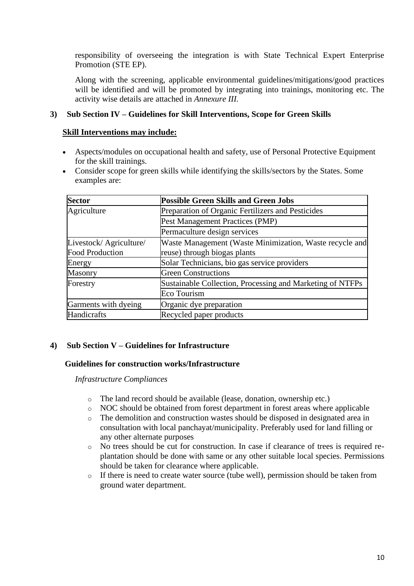responsibility of overseeing the integration is with State Technical Expert Enterprise Promotion (STE EP).

Along with the screening, applicable environmental guidelines/mitigations/good practices will be identified and will be promoted by integrating into trainings, monitoring etc. The activity wise details are attached in *Annexure III.*

#### **3) Sub Section IV – Guidelines for Skill Interventions, Scope for Green Skills**

#### **Skill Interventions may include:**

- Aspects/modules on occupational health and safety, use of Personal Protective Equipment for the skill trainings.
- Consider scope for green skills while identifying the skills/sectors by the States. Some examples are:

| <b>Sector</b>          | <b>Possible Green Skills and Green Jobs</b>               |  |
|------------------------|-----------------------------------------------------------|--|
| Agriculture            | Preparation of Organic Fertilizers and Pesticides         |  |
|                        | Pest Management Practices (PMP)                           |  |
|                        | Permaculture design services                              |  |
| Livestock/Agriculture/ | Waste Management (Waste Minimization, Waste recycle and   |  |
| <b>Food Production</b> | reuse) through biogas plants                              |  |
| Energy                 | Solar Technicians, bio gas service providers              |  |
| Masonry                | <b>Green Constructions</b>                                |  |
| Forestry               | Sustainable Collection, Processing and Marketing of NTFPs |  |
|                        | Eco Tourism                                               |  |
| Garments with dyeing   | Organic dye preparation                                   |  |
| Handicrafts            | Recycled paper products                                   |  |

#### **4) Sub Section V – Guidelines for Infrastructure**

#### **Guidelines for construction works/Infrastructure**

*Infrastructure Compliances*

- o The land record should be available (lease, donation, ownership etc.)
- o NOC should be obtained from forest department in forest areas where applicable
- o The demolition and construction wastes should be disposed in designated area in consultation with local panchayat/municipality. Preferably used for land filling or any other alternate purposes
- o No trees should be cut for construction. In case if clearance of trees is required replantation should be done with same or any other suitable local species. Permissions should be taken for clearance where applicable.
- o If there is need to create water source (tube well), permission should be taken from ground water department.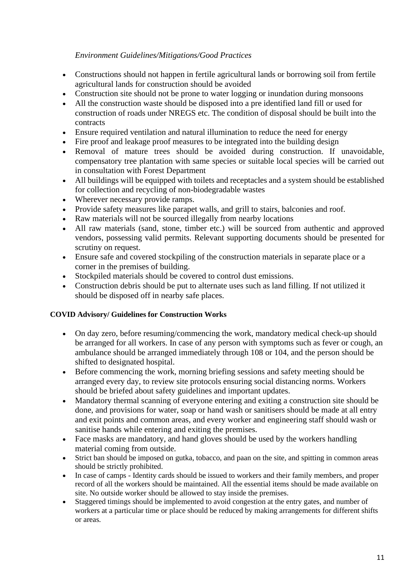#### *Environment Guidelines/Mitigations/Good Practices*

- Constructions should not happen in fertile agricultural lands or borrowing soil from fertile agricultural lands for construction should be avoided
- Construction site should not be prone to water logging or inundation during monsoons
- All the construction waste should be disposed into a pre identified land fill or used for construction of roads under NREGS etc. The condition of disposal should be built into the contracts
- Ensure required ventilation and natural illumination to reduce the need for energy
- Fire proof and leakage proof measures to be integrated into the building design
- Removal of mature trees should be avoided during construction. If unavoidable, compensatory tree plantation with same species or suitable local species will be carried out in consultation with Forest Department
- All buildings will be equipped with toilets and receptacles and a system should be established for collection and recycling of non-biodegradable wastes
- Wherever necessary provide ramps.
- Provide safety measures like parapet walls, and grill to stairs, balconies and roof.
- Raw materials will not be sourced illegally from nearby locations
- All raw materials (sand, stone, timber etc.) will be sourced from authentic and approved vendors, possessing valid permits. Relevant supporting documents should be presented for scrutiny on request.
- Ensure safe and covered stockpiling of the construction materials in separate place or a corner in the premises of building.
- Stockpiled materials should be covered to control dust emissions.
- Construction debris should be put to alternate uses such as land filling. If not utilized it should be disposed off in nearby safe places.

#### **COVID Advisory/ Guidelines for Construction Works**

- On day zero, before resuming/commencing the work, mandatory medical check-up should be arranged for all workers. In case of any person with symptoms such as fever or cough, an ambulance should be arranged immediately through 108 or 104, and the person should be shifted to designated hospital.
- Before commencing the work, morning briefing sessions and safety meeting should be arranged every day, to review site protocols ensuring social distancing norms. Workers should be briefed about safety guidelines and important updates.
- Mandatory thermal scanning of everyone entering and exiting a construction site should be done, and provisions for water, soap or hand wash or sanitisers should be made at all entry and exit points and common areas, and every worker and engineering staff should wash or sanitise hands while entering and exiting the premises.
- Face masks are mandatory, and hand gloves should be used by the workers handling material coming from outside.
- Strict ban should be imposed on gutka, tobacco, and paan on the site, and spitting in common areas should be strictly prohibited.
- In case of camps Identity cards should be issued to workers and their family members, and proper record of all the workers should be maintained. All the essential items should be made available on site. No outside worker should be allowed to stay inside the premises.
- Staggered timings should be implemented to avoid congestion at the entry gates, and number of workers at a particular time or place should be reduced by making arrangements for different shifts or areas.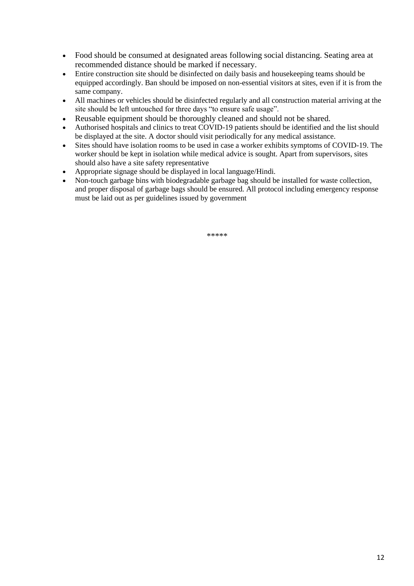- Food should be consumed at designated areas following social distancing. Seating area at recommended distance should be marked if necessary.
- Entire construction site should be disinfected on daily basis and housekeeping teams should be equipped accordingly. Ban should be imposed on non-essential visitors at sites, even if it is from the same company.
- All machines or vehicles should be disinfected regularly and all construction material arriving at the site should be left untouched for three days "to ensure safe usage".
- Reusable equipment should be thoroughly cleaned and should not be shared.
- Authorised hospitals and clinics to treat COVID-19 patients should be identified and the list should be displayed at the site. A doctor should visit periodically for any medical assistance.
- Sites should have isolation rooms to be used in case a worker exhibits symptoms of COVID-19. The worker should be kept in isolation while medical advice is sought. Apart from supervisors, sites should also have a site safety representative
- Appropriate signage should be displayed in local language/Hindi.
- Non-touch garbage bins with biodegradable garbage bag should be installed for waste collection, and proper disposal of garbage bags should be ensured. All protocol including emergency response must be laid out as per guidelines issued by government

\*\*\*\*\*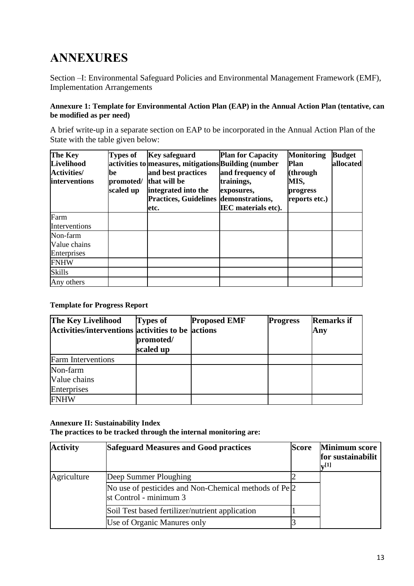# **ANNEXURES**

Section –I: Environmental Safeguard Policies and Environmental Management Framework (EMF), Implementation Arrangements

#### **Annexure 1: Template for Environmental Action Plan (EAP) in the Annual Action Plan (tentative, can be modified as per need)**

A brief write-up in a separate section on EAP to be incorporated in the Annual Action Plan of the State with the table given below:

| The Key            | <b>Types of</b> | <b>Key safeguard</b>                                 | <b>Plan for Capacity</b>   | <b>Monitoring</b> | <b>Budget</b> |
|--------------------|-----------------|------------------------------------------------------|----------------------------|-------------------|---------------|
| Livelihood         |                 | activities to measures, mitigations Building (number |                            | <b>Plan</b>       | allocated     |
| <b>Activities/</b> | be              | and best practices                                   | and frequency of           | (through          |               |
| interventions      | promoted/       | that will be                                         | trainings,                 | MIS,              |               |
|                    | scaled up       | integrated into the                                  | exposures,                 | progress          |               |
|                    |                 | <b>Practices, Guidelines demonstrations,</b>         |                            | reports etc.)     |               |
|                    |                 | letc.                                                | <b>IEC</b> materials etc). |                   |               |
| Farm               |                 |                                                      |                            |                   |               |
| Interventions      |                 |                                                      |                            |                   |               |
| Non-farm           |                 |                                                      |                            |                   |               |
| Value chains       |                 |                                                      |                            |                   |               |
| Enterprises        |                 |                                                      |                            |                   |               |
| <b>FNHW</b>        |                 |                                                      |                            |                   |               |
| <b>Skills</b>      |                 |                                                      |                            |                   |               |
| Any others         |                 |                                                      |                            |                   |               |

#### **Template for Progress Report**

| The Key Livelihood<br>Activities/interventions activities to be actions | <b>Types of</b><br>promoted/<br>scaled up | <b>Proposed EMF</b> | <b>Progress</b> | <b>Remarks if</b><br>Any |
|-------------------------------------------------------------------------|-------------------------------------------|---------------------|-----------------|--------------------------|
| <b>Farm Interventions</b>                                               |                                           |                     |                 |                          |
| Non-farm                                                                |                                           |                     |                 |                          |
| Value chains                                                            |                                           |                     |                 |                          |
| Enterprises                                                             |                                           |                     |                 |                          |
| <b>FNHW</b>                                                             |                                           |                     |                 |                          |

#### **Annexure II: Sustainability Index**

**The practices to be tracked through the internal monitoring are:**

| <b>Activity</b> | <b>Safeguard Measures and Good practices</b>                                                 | <b>Score</b> | <b>Minimum score</b><br>for sustainabilit<br>$\mathbf{v}^{[1]}$ |
|-----------------|----------------------------------------------------------------------------------------------|--------------|-----------------------------------------------------------------|
| Agriculture     | Deep Summer Ploughing                                                                        |              |                                                                 |
|                 | No use of pesticides and Non-Chemical methods of Pe <sup>[2]</sup><br>st Control - minimum 3 |              |                                                                 |
|                 | Soil Test based fertilizer/nutrient application                                              |              |                                                                 |
|                 | Use of Organic Manures only                                                                  |              |                                                                 |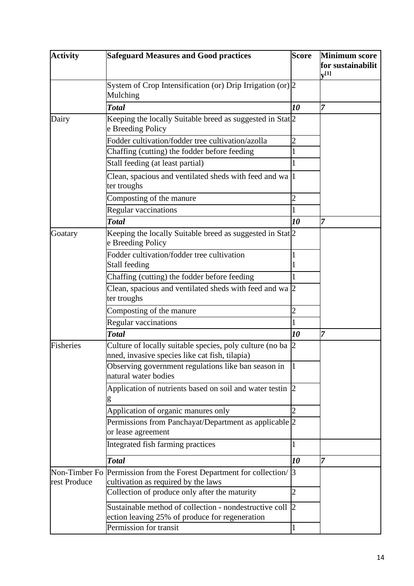| <b>Activity</b>               | <b>Safeguard Measures and Good practices</b>                                                               | <b>Score</b>   | <b>Minimum score</b>                 |
|-------------------------------|------------------------------------------------------------------------------------------------------------|----------------|--------------------------------------|
|                               |                                                                                                            |                | for sustainabilit<br>${\bf v}^{[1]}$ |
|                               | System of Crop Intensification (or) Drip Irrigation (or) $\sqrt{2}$<br>Mulching                            |                |                                      |
|                               | <b>Total</b>                                                                                               | 10             | 7                                    |
| Dairy                         | Keeping the locally Suitable breed as suggested in Stat <sup>[2]</sup><br>e Breeding Policy                |                |                                      |
|                               | Fodder cultivation/fodder tree cultivation/azolla                                                          |                |                                      |
|                               | Chaffing (cutting) the fodder before feeding                                                               |                |                                      |
|                               | Stall feeding (at least partial)                                                                           |                |                                      |
|                               | Clean, spacious and ventilated sheds with feed and wa  1<br>ter troughs                                    |                |                                      |
|                               | Composting of the manure                                                                                   | 2              |                                      |
|                               | <b>Regular vaccinations</b>                                                                                |                |                                      |
|                               | <b>Total</b>                                                                                               | 10             | 7                                    |
| Goatary                       | Keeping the locally Suitable breed as suggested in Stat <sup>[2]</sup><br>e Breeding Policy                |                |                                      |
|                               | Fodder cultivation/fodder tree cultivation<br>Stall feeding                                                |                |                                      |
|                               | Chaffing (cutting) the fodder before feeding                                                               |                |                                      |
|                               | Clean, spacious and ventilated sheds with feed and wa 2<br>ter troughs                                     |                |                                      |
|                               | Composting of the manure                                                                                   | 2              |                                      |
|                               | Regular vaccinations                                                                                       |                |                                      |
|                               | <b>Total</b>                                                                                               | 10             | 17                                   |
| Fisheries                     | Culture of locally suitable species, poly culture (no ba<br>nned, invasive species like cat fish, tilapia) | $\overline{2}$ |                                      |
|                               | Observing government regulations like ban season in<br>natural water bodies                                |                |                                      |
|                               | Application of nutrients based on soil and water testin 2<br>g                                             |                |                                      |
|                               | Application of organic manures only                                                                        |                |                                      |
|                               | Permissions from Panchayat/Department as applicable 2<br>or lease agreement                                |                |                                      |
|                               | Integrated fish farming practices                                                                          |                |                                      |
|                               | <b>Total</b>                                                                                               | 10             | 7                                    |
| Non-Timber Fo<br>rest Produce | Permission from the Forest Department for collection/<br>cultivation as required by the laws               | $\beta$        |                                      |
|                               | Collection of produce only after the maturity                                                              | າ              |                                      |
|                               | Sustainable method of collection - nondestructive coll<br>ection leaving 25% of produce for regeneration   | $\overline{2}$ |                                      |
|                               | Permission for transit                                                                                     |                |                                      |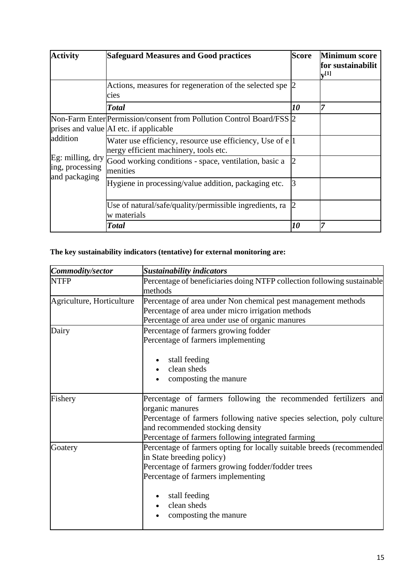| <b>Activity</b>                                                           | <b>Safeguard Measures and Good practices</b>                                                                   | <b>Score</b> | <b>Minimum score</b><br>for sustainabilit<br>$\mathbf{v}^{[1]}$ |
|---------------------------------------------------------------------------|----------------------------------------------------------------------------------------------------------------|--------------|-----------------------------------------------------------------|
|                                                                           | Actions, measures for regeneration of the selected spe<br>cies                                                 |              |                                                                 |
|                                                                           | <b>Total</b>                                                                                                   | 10           |                                                                 |
| addition<br>Eg: milling, $\text{dry}$<br>ing, processing<br>and packaging | Non-Farm Enter Permission/consent from Pollution Control Board/FSS 2<br>prises and value AI etc. if applicable |              |                                                                 |
|                                                                           | Water use efficiency, resource use efficiency, Use of e 1<br>nergy efficient machinery, tools etc.             |              |                                                                 |
|                                                                           | Good working conditions - space, ventilation, basic a<br>menities                                              |              |                                                                 |
|                                                                           | Hygiene in processing/value addition, packaging etc.                                                           |              |                                                                 |
|                                                                           | Use of natural/safe/quality/permissible ingredients, ra<br>w materials                                         |              |                                                                 |
|                                                                           | <b>Total</b>                                                                                                   | 10           | 7                                                               |

### **The key sustainability indicators (tentative) for external monitoring are:**

| Commodity/sector          | <b>Sustainability indicators</b>                                                                                                                                                                                                                       |  |  |
|---------------------------|--------------------------------------------------------------------------------------------------------------------------------------------------------------------------------------------------------------------------------------------------------|--|--|
| <b>NTFP</b>               | Percentage of beneficiaries doing NTFP collection following sustainable<br>methods                                                                                                                                                                     |  |  |
| Agriculture, Horticulture | Percentage of area under Non chemical pest management methods                                                                                                                                                                                          |  |  |
|                           | Percentage of area under micro irrigation methods                                                                                                                                                                                                      |  |  |
|                           | Percentage of area under use of organic manures                                                                                                                                                                                                        |  |  |
| Dairy                     | Percentage of farmers growing fodder                                                                                                                                                                                                                   |  |  |
|                           | Percentage of farmers implementing                                                                                                                                                                                                                     |  |  |
|                           | stall feeding<br>clean sheds<br>composting the manure                                                                                                                                                                                                  |  |  |
| Fishery                   | Percentage of farmers following the recommended fertilizers and<br>organic manures<br>Percentage of farmers following native species selection, poly culture<br>and recommended stocking density<br>Percentage of farmers following integrated farming |  |  |
| Goatery                   | Percentage of farmers opting for locally suitable breeds (recommended<br>in State breeding policy)<br>Percentage of farmers growing fodder/fodder trees<br>Percentage of farmers implementing<br>stall feeding<br>clean sheds<br>composting the manure |  |  |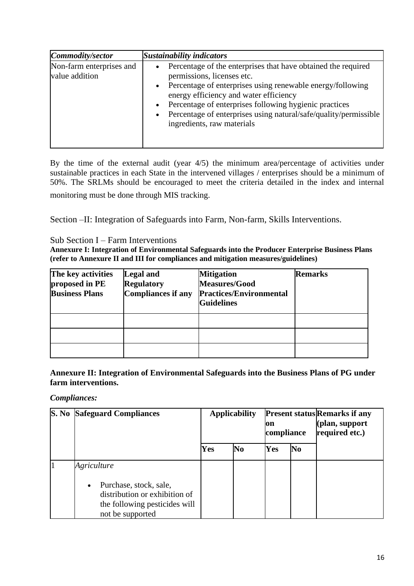| Commodity/sector                           | <b>Sustainability indicators</b>                                                                                                                                                                                                                                                                                                                                                          |
|--------------------------------------------|-------------------------------------------------------------------------------------------------------------------------------------------------------------------------------------------------------------------------------------------------------------------------------------------------------------------------------------------------------------------------------------------|
| Non-farm enterprises and<br>value addition | Percentage of the enterprises that have obtained the required<br>permissions, licenses etc.<br>Percentage of enterprises using renewable energy/following<br>$\bullet$<br>energy efficiency and water efficiency<br>Percentage of enterprises following hygienic practices<br>Percentage of enterprises using natural/safe/quality/permissible<br>$\bullet$<br>ingredients, raw materials |

By the time of the external audit (year 4/5) the minimum area/percentage of activities under sustainable practices in each State in the intervened villages / enterprises should be a minimum of 50%. The SRLMs should be encouraged to meet the criteria detailed in the index and internal monitoring must be done through MIS tracking.

Section –II: Integration of Safeguards into Farm, Non-farm, Skills Interventions.

#### Sub Section I – Farm Interventions

**Annexure I: Integration of Environmental Safeguards into the Producer Enterprise Business Plans (refer to Annexure II and III for compliances and mitigation measures/guidelines)**

| The key activities<br>proposed in PE<br><b>Business Plans</b> | Legal and<br><b>Regulatory</b><br>Compliances if any | <b>Mitigation</b><br><b>Measures/Good</b><br><b>Practices/Environmental</b><br><b>Guidelines</b> | <b>Remarks</b> |
|---------------------------------------------------------------|------------------------------------------------------|--------------------------------------------------------------------------------------------------|----------------|
|                                                               |                                                      |                                                                                                  |                |
|                                                               |                                                      |                                                                                                  |                |
|                                                               |                                                      |                                                                                                  |                |

**Annexure II: Integration of Environmental Safeguards into the Business Plans of PG under farm interventions.**

*Compliances:*

| S. No | <b>Safeguard Compliances</b>                                                                                                             | <b>Applicability</b><br>on<br>compliance |                |     | <b>Present status Remarks if any</b><br>(plan, support<br>required etc.) |  |
|-------|------------------------------------------------------------------------------------------------------------------------------------------|------------------------------------------|----------------|-----|--------------------------------------------------------------------------|--|
|       |                                                                                                                                          | Yes                                      | N <sub>0</sub> | Yes | No                                                                       |  |
|       | Agriculture<br>Purchase, stock, sale,<br>$\bullet$<br>distribution or exhibition of<br>the following pesticides will<br>not be supported |                                          |                |     |                                                                          |  |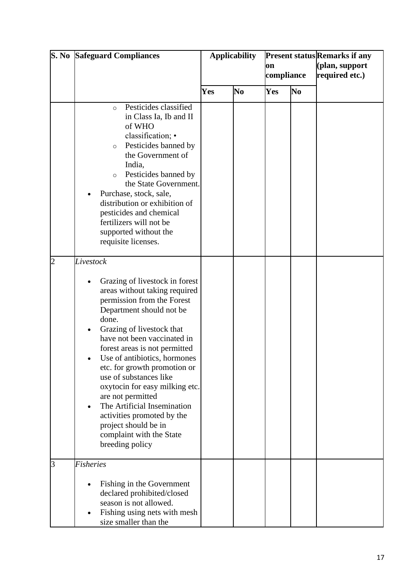|                | <b>S. No Safeguard Compliances</b>                                                                                                                                                                                                                                                                                                                                                                                                                                                                                                | <b>Applicability</b> |                | on<br>compliance |                | <b>Present status Remarks if any</b><br>(plan, support<br>required etc.) |
|----------------|-----------------------------------------------------------------------------------------------------------------------------------------------------------------------------------------------------------------------------------------------------------------------------------------------------------------------------------------------------------------------------------------------------------------------------------------------------------------------------------------------------------------------------------|----------------------|----------------|------------------|----------------|--------------------------------------------------------------------------|
|                |                                                                                                                                                                                                                                                                                                                                                                                                                                                                                                                                   | Yes                  | N <sub>0</sub> | Yes              | N <sub>0</sub> |                                                                          |
|                | Pesticides classified<br>$\circ$<br>in Class Ia, Ib and II<br>of WHO<br>classification; •<br>Pesticides banned by<br>$\circ$<br>the Government of<br>India,<br>Pesticides banned by<br>$\circ$<br>the State Government.<br>Purchase, stock, sale,<br>distribution or exhibition of<br>pesticides and chemical<br>fertilizers will not be<br>supported without the<br>requisite licenses.                                                                                                                                          |                      |                |                  |                |                                                                          |
| $\overline{2}$ | Livestock<br>Grazing of livestock in forest<br>areas without taking required<br>permission from the Forest<br>Department should not be<br>done.<br>Grazing of livestock that<br>have not been vaccinated in<br>forest areas is not permitted<br>Use of antibiotics, hormones<br>etc. for growth promotion or<br>use of substances like<br>oxytocin for easy milking etc.<br>are not permitted<br>The Artificial Insemination<br>activities promoted by the<br>project should be in<br>complaint with the State<br>breeding policy |                      |                |                  |                |                                                                          |
| 3              | <b>Fisheries</b><br>Fishing in the Government<br>declared prohibited/closed<br>season is not allowed.<br>Fishing using nets with mesh<br>size smaller than the                                                                                                                                                                                                                                                                                                                                                                    |                      |                |                  |                |                                                                          |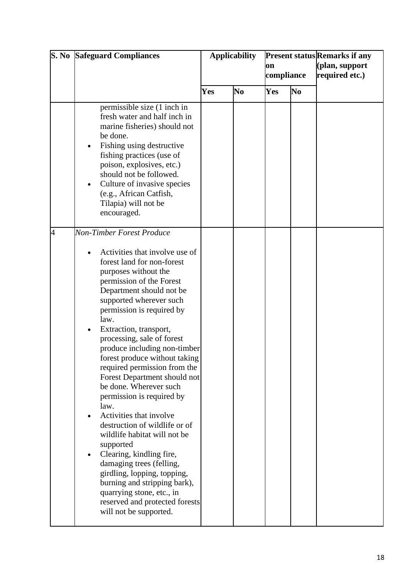|                | <b>S. No Safeguard Compliances</b>                                                                                                                                                                                                                                                                                                                                                                                                                                                                                                                                                                                                                                                                                                                                                                                                | <b>Applicability</b> |                | on<br>compliance |                | <b>Present status Remarks if any</b><br>(plan, support<br>required etc.) |
|----------------|-----------------------------------------------------------------------------------------------------------------------------------------------------------------------------------------------------------------------------------------------------------------------------------------------------------------------------------------------------------------------------------------------------------------------------------------------------------------------------------------------------------------------------------------------------------------------------------------------------------------------------------------------------------------------------------------------------------------------------------------------------------------------------------------------------------------------------------|----------------------|----------------|------------------|----------------|--------------------------------------------------------------------------|
|                |                                                                                                                                                                                                                                                                                                                                                                                                                                                                                                                                                                                                                                                                                                                                                                                                                                   | Yes                  | N <sub>0</sub> | Yes              | N <sub>0</sub> |                                                                          |
|                | permissible size (1 inch in<br>fresh water and half inch in<br>marine fisheries) should not<br>be done.<br>Fishing using destructive<br>$\bullet$<br>fishing practices (use of<br>poison, explosives, etc.)<br>should not be followed.<br>Culture of invasive species<br>(e.g., African Catfish,<br>Tilapia) will not be<br>encouraged.                                                                                                                                                                                                                                                                                                                                                                                                                                                                                           |                      |                |                  |                |                                                                          |
| $\overline{4}$ | <b>Non-Timber Forest Produce</b><br>Activities that involve use of<br>forest land for non-forest<br>purposes without the<br>permission of the Forest<br>Department should not be<br>supported wherever such<br>permission is required by<br>law.<br>Extraction, transport,<br>processing, sale of forest<br>produce including non-timber<br>forest produce without taking<br>required permission from the<br>Forest Department should not<br>be done. Wherever such<br>permission is required by<br>law.<br>Activities that involve<br>destruction of wildlife or of<br>wildlife habitat will not be<br>supported<br>Clearing, kindling fire,<br>damaging trees (felling,<br>girdling, lopping, topping,<br>burning and stripping bark),<br>quarrying stone, etc., in<br>reserved and protected forests<br>will not be supported. |                      |                |                  |                |                                                                          |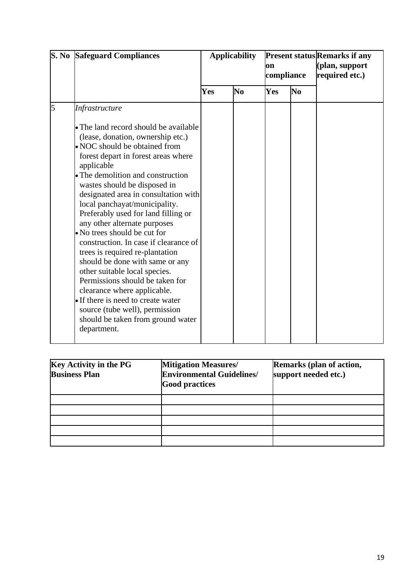| S. No | <b>Safeguard Compliances</b>                                                                                                                                                                                                                                                                                                                                                                                                                                                                                                                                                                                                                                                                                                                                        | <b>Applicability</b> |                | on<br>compliance |                | <b>Present status Remarks if any</b><br>(plan, support<br>required etc.) |  |
|-------|---------------------------------------------------------------------------------------------------------------------------------------------------------------------------------------------------------------------------------------------------------------------------------------------------------------------------------------------------------------------------------------------------------------------------------------------------------------------------------------------------------------------------------------------------------------------------------------------------------------------------------------------------------------------------------------------------------------------------------------------------------------------|----------------------|----------------|------------------|----------------|--------------------------------------------------------------------------|--|
|       |                                                                                                                                                                                                                                                                                                                                                                                                                                                                                                                                                                                                                                                                                                                                                                     | Yes                  | N <sub>0</sub> | Yes              | N <sub>0</sub> |                                                                          |  |
| 5     | Infrastructure                                                                                                                                                                                                                                                                                                                                                                                                                                                                                                                                                                                                                                                                                                                                                      |                      |                |                  |                |                                                                          |  |
|       | • The land record should be available<br>(lease, donation, ownership etc.)<br>• NOC should be obtained from<br>forest depart in forest areas where<br>applicable<br>• The demolition and construction<br>wastes should be disposed in<br>designated area in consultation with<br>local panchayat/municipality.<br>Preferably used for land filling or<br>any other alternate purposes<br>• No trees should be cut for<br>construction. In case if clearance of<br>trees is required re-plantation<br>should be done with same or any<br>other suitable local species.<br>Permissions should be taken for<br>clearance where applicable.<br>• If there is need to create water<br>source (tube well), permission<br>should be taken from ground water<br>department. |                      |                |                  |                |                                                                          |  |

| <b>Key Activity in the PG</b><br><b>Business Plan</b> | <b>Mitigation Measures/</b><br><b>Environmental Guidelines/</b><br><b>Good practices</b> | Remarks (plan of action,<br>support needed etc.) |
|-------------------------------------------------------|------------------------------------------------------------------------------------------|--------------------------------------------------|
|                                                       |                                                                                          |                                                  |
|                                                       |                                                                                          |                                                  |
|                                                       |                                                                                          |                                                  |
|                                                       |                                                                                          |                                                  |
|                                                       |                                                                                          |                                                  |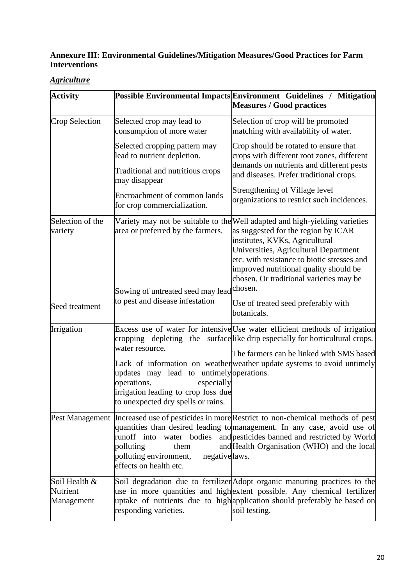### **Annexure III: Environmental Guidelines/Mitigation Measures/Good Practices for Farm Interventions**

*Agriculture*

| <b>Activity</b>                         |                                                                                                                                                    | Possible Environmental Impacts Environment Guidelines / Mitigation<br><b>Measures / Good practices</b>                                                                                                                                                                                                                            |
|-----------------------------------------|----------------------------------------------------------------------------------------------------------------------------------------------------|-----------------------------------------------------------------------------------------------------------------------------------------------------------------------------------------------------------------------------------------------------------------------------------------------------------------------------------|
| <b>Crop Selection</b>                   | Selected crop may lead to<br>consumption of more water                                                                                             | Selection of crop will be promoted<br>matching with availability of water.                                                                                                                                                                                                                                                        |
|                                         | Selected cropping pattern may<br>lead to nutrient depletion.                                                                                       | Crop should be rotated to ensure that<br>crops with different root zones, different                                                                                                                                                                                                                                               |
|                                         | Traditional and nutritious crops<br>may disappear                                                                                                  | demands on nutrients and different pests<br>and diseases. Prefer traditional crops.                                                                                                                                                                                                                                               |
|                                         | Encroachment of common lands<br>for crop commercialization.                                                                                        | Strengthening of Village level<br>organizations to restrict such incidences.                                                                                                                                                                                                                                                      |
| Selection of the<br>variety             | area or preferred by the farmers.                                                                                                                  | Variety may not be suitable to the Well adapted and high-yielding varieties<br>as suggested for the region by ICAR<br>institutes, KVKs, Agricultural<br>Universities, Agricultural Department<br>etc. with resistance to biotic stresses and<br>improved nutritional quality should be<br>chosen. Or traditional varieties may be |
| Seed treatment                          | Sowing of untreated seed may lead chosen.<br>to pest and disease infestation                                                                       | Use of treated seed preferably with<br>botanicals.                                                                                                                                                                                                                                                                                |
| Irrigation                              | water resource.                                                                                                                                    | Excess use of water for intensive Use water efficient methods of irrigation<br>cropping depleting the surface like drip especially for horticultural crops.                                                                                                                                                                       |
|                                         | updates may lead to untimely operations.<br>operations,<br>especially<br>irrigation leading to crop loss due<br>to unexpected dry spells or rains. | The farmers can be linked with SMS based<br>Lack of information on weather weather update systems to avoid untimely                                                                                                                                                                                                               |
|                                         | water bodies<br>runoff into<br>polluting<br>them<br>polluting environment,<br>negativelaws.<br>effects on health etc.                              | Pest Management Increased use of pesticides in more Restrict to non-chemical methods of pest<br>quantities than desired leading to management. In any case, avoid use of<br>and pesticides banned and restricted by World<br>and Health Organisation (WHO) and the local                                                          |
| Soil Health &<br>Nutrient<br>Management | responding varieties.                                                                                                                              | Soil degradation due to fertilizer Adopt organic manuring practices to the<br>use in more quantities and highextent possible. Any chemical fertilizer<br>uptake of nutrients due to high application should preferably be based on<br>soil testing.                                                                               |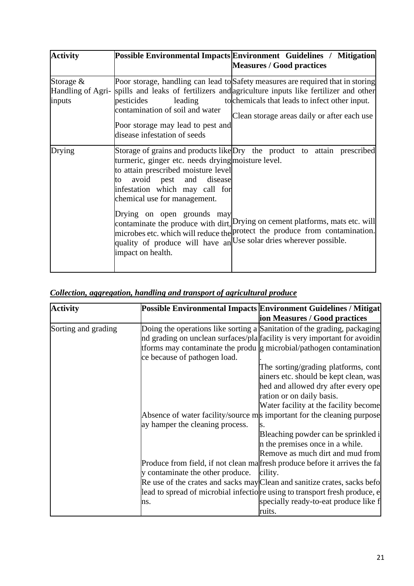| <b>Activity</b>       |                                                                                                                                                                                                                                                                                                                         | Possible Environmental Impacts Environment Guidelines / Mitigation<br><b>Measures / Good practices</b>                                                                                                                                                                                 |
|-----------------------|-------------------------------------------------------------------------------------------------------------------------------------------------------------------------------------------------------------------------------------------------------------------------------------------------------------------------|----------------------------------------------------------------------------------------------------------------------------------------------------------------------------------------------------------------------------------------------------------------------------------------|
|                       |                                                                                                                                                                                                                                                                                                                         |                                                                                                                                                                                                                                                                                        |
| Storage $&$<br>inputs | pesticides<br>leading<br>contamination of soil and water<br>Poor storage may lead to pest and<br>disease infestation of seeds                                                                                                                                                                                           | Poor storage, handling can lead to Safety measures are required that in storing<br>Handling of Agri- spills and leaks of fertilizers and agriculture inputs like fertilizer and other<br>to chemicals that leads to infect other input.<br>Clean storage areas daily or after each use |
| Drying                | turmeric, ginger etc. needs drying moisture level.<br>to attain prescribed moisture level<br>avoid pest and<br>disease<br>to<br>infestation which may call for<br>chemical use for management.<br>Drying on open grounds may<br>quality of produce will have an Use solar dries wherever possible.<br>impact on health. | Storage of grains and products like Dry the product to attain prescribed<br>contaminate the produce with dirt, Drying on cement platforms, mats etc. will<br>microbes etc. which will reduce the protect the produce from contamination.                                               |

|  |  | Collection, aggregation, handling and transport of agricultural produce |  |
|--|--|-------------------------------------------------------------------------|--|
|  |  |                                                                         |  |

| <b>Activity</b>     |                                  | Possible Environmental Impacts   Environment Guidelines / Mitigat           |
|---------------------|----------------------------------|-----------------------------------------------------------------------------|
|                     |                                  | ion Measures / Good practices                                               |
| Sorting and grading |                                  | Doing the operations like sorting a Sanitation of the grading, packaging    |
|                     |                                  | nd grading on unclean surfaces/pla facility is very important for avoidin   |
|                     |                                  | tforms may contaminate the produ g microbial/pathogen contamination         |
|                     | ce because of pathogen load.     |                                                                             |
|                     |                                  | The sorting/grading platforms, cont                                         |
|                     |                                  | ainers etc. should be kept clean, was                                       |
|                     |                                  | hed and allowed dry after every ope                                         |
|                     |                                  | ration or on daily basis.                                                   |
|                     |                                  | Water facility at the facility become                                       |
|                     |                                  | Absence of water facility/source ms important for the cleaning purpose      |
|                     | ay hamper the cleaning process.  |                                                                             |
|                     |                                  | Bleaching powder can be sprinkled i                                         |
|                     |                                  | in the premises once in a while.                                            |
|                     |                                  | Remove as much dirt and mud from                                            |
|                     |                                  | Produce from field, if not clean malfresh produce before it arrives the fa  |
|                     | y contaminate the other produce. | cility.                                                                     |
|                     |                                  | Re use of the crates and sacks may Clean and sanitize crates, sacks befo    |
|                     |                                  | lead to spread of microbial infection results to transport fresh produce, e |
|                     | ns.                              | specially ready-to-eat produce like f                                       |
|                     |                                  | ruits.                                                                      |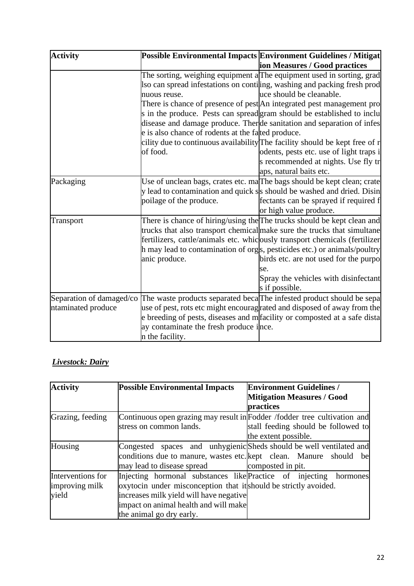| <b>Activity</b>          |                                                   | Possible Environmental Impacts Environment Guidelines / Mitigat                       |
|--------------------------|---------------------------------------------------|---------------------------------------------------------------------------------------|
|                          |                                                   | ion Measures / Good practices                                                         |
|                          |                                                   | The sorting, weighing equipment a The equipment used in sorting, grad                 |
|                          |                                                   | lso can spread infestations on contining, washing and packing fresh prod              |
|                          | nuous reuse.                                      | uce should be cleanable.                                                              |
|                          |                                                   | There is chance of presence of pest An integrated pest management pro                 |
|                          |                                                   | s in the produce. Pests can spread gram should be established to inclu                |
|                          |                                                   | disease and damage produce. There de sanitation and separation of infes               |
|                          | e is also chance of rodents at the fated produce. |                                                                                       |
|                          |                                                   | cility due to continuous availability The facility should be kept free of r           |
|                          | of food.                                          | odents, pests etc. use of light traps i                                               |
|                          |                                                   | s recommended at nights. Use fly tr                                                   |
|                          |                                                   | aps, natural baits etc.                                                               |
| Packaging                |                                                   | Use of unclean bags, crates etc. ma <sub>l</sub> The bags should be kept clean; crate |
|                          |                                                   | y lead to contamination and quick ss should be washed and dried. Disin                |
|                          | poilage of the produce.                           | fectants can be sprayed if required f                                                 |
|                          |                                                   | or high value produce.                                                                |
| <b>Transport</b>         |                                                   | There is chance of hiring/using the The trucks should be kept clean and               |
|                          |                                                   | trucks that also transport chemical make sure the trucks that simultane               |
|                          |                                                   | fertilizers, cattle/animals etc. whiclously transport chemicals (fertilizer           |
|                          |                                                   | h may lead to contamination of orgs, pesticides etc.) or animals/poultry              |
|                          | anic produce.                                     | birds etc. are not used for the purpo                                                 |
|                          |                                                   | se.                                                                                   |
|                          |                                                   | Spray the vehicles with disinfectant                                                  |
|                          |                                                   | s if possible.                                                                        |
| Separation of damaged/co |                                                   | The waste products separated beca <sup>T</sup> he infested product should be sepa     |
| ntaminated produce       |                                                   | use of pest, rots etc might encouragrated and disposed of away from the               |
|                          |                                                   | e breeding of pests, diseases and mefacility or composted at a safe dista             |
|                          | ay contaminate the fresh produce ince.            |                                                                                       |
|                          | n the facility.                                   |                                                                                       |

# *Livestock: Dairy*

| <b>Activity</b>   | <b>Possible Environmental Impacts</b>                                     | <b>Environment Guidelines /</b>     |
|-------------------|---------------------------------------------------------------------------|-------------------------------------|
|                   |                                                                           | <b>Mitigation Measures / Good</b>   |
|                   |                                                                           | practices                           |
| Grazing, feeding  | Continuous open grazing may result in Fodder /fodder tree cultivation and |                                     |
|                   | stress on common lands.                                                   | stall feeding should be followed to |
|                   |                                                                           | the extent possible.                |
| Housing           | Congested spaces and unhygienic Sheds should be well ventilated and       |                                     |
|                   | conditions due to manure, wastes etc. kept clean. Manure should           | bel                                 |
|                   | may lead to disease spread                                                | composted in pit.                   |
| Interventions for | Injecting hormonal substances like Practice of injecting hormones         |                                     |
| improving milk    | oxytocin under misconception that it should be strictly avoided.          |                                     |
| yield             | increases milk yield will have negative                                   |                                     |
|                   | impact on animal health and will make                                     |                                     |
|                   | the animal go dry early.                                                  |                                     |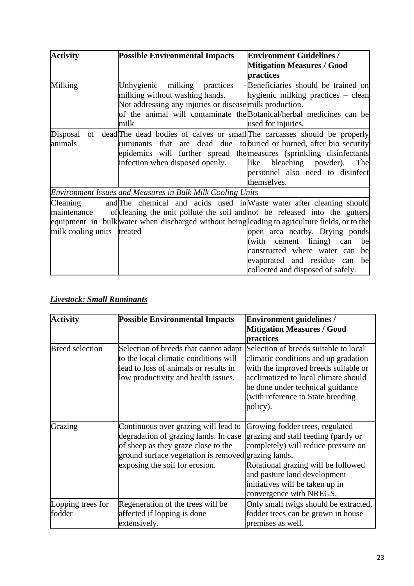| <b>Activity</b>            | <b>Possible Environmental Impacts</b>                                                          | <b>Environment Guidelines /</b>     |
|----------------------------|------------------------------------------------------------------------------------------------|-------------------------------------|
|                            |                                                                                                | <b>Mitigation Measures / Good</b>   |
|                            |                                                                                                | practices                           |
| Milking                    | Unhygienic milking practices                                                                   | -Beneficiaries should be trained on |
|                            | milking without washing hands.                                                                 | hygienic milking practices – clean  |
|                            | Not addressing any injuries or disease milk production.                                        |                                     |
|                            | of the animal will contaminate the Botanical/herbal medicines can be                           |                                     |
|                            | milk                                                                                           | used for injuries.                  |
| Disposal                   | of dead <sup>The dead bodies of calves or small The carcasses should be properly</sup>         |                                     |
| animals                    | ruminants that are dead due to buried or burned, after bio security                            |                                     |
|                            | epidemics will further spread the measures (sprinkling disinfectants                           |                                     |
|                            | infection when disposed openly.                                                                | like bleaching powder). The         |
|                            |                                                                                                | personnel also need to disinfect    |
|                            |                                                                                                | themselves.                         |
|                            | Environment Issues and Measures in Bulk Milk Cooling Units                                     |                                     |
| Cleaning                   | and The chemical and acids used in Waste water after cleaning should                           |                                     |
| maintenance                | of cleaning the unit pollute the soil and not be released into the gutters                     |                                     |
|                            | equipment in bulk water when discharged without being leading to agriculture fields, or to the |                                     |
| milk cooling units treated |                                                                                                | open area nearby. Drying ponds      |
|                            |                                                                                                | (with cement lining) can<br>be      |
|                            |                                                                                                | constructed where water can<br>be   |
|                            |                                                                                                | evaporated and residue can<br>be    |
|                            |                                                                                                | collected and disposed of safely.   |

#### *Livestock: Small Ruminants*

| <b>Activity</b>        | <b>Possible Environmental Impacts</b>                                                                                                                                                                         | <b>Environment guidelines /</b><br><b>Mitigation Measures / Good</b><br>practices                                                                                                                                                                   |  |  |
|------------------------|---------------------------------------------------------------------------------------------------------------------------------------------------------------------------------------------------------------|-----------------------------------------------------------------------------------------------------------------------------------------------------------------------------------------------------------------------------------------------------|--|--|
| <b>Breed</b> selection | Selection of breeds that cannot adapt<br>to the local climatic conditions will<br>lead to loss of animals or results in<br>low productivity and health issues.                                                | Selection of breeds suitable to local<br>climatic conditions and up gradation<br>with the improved breeds suitable or<br>acclimatized to local climate should<br>be done under technical guidance<br>(with reference to State breeding)<br>policy). |  |  |
| Grazing                | Continuous over grazing will lead to<br>degradation of grazing lands. In case<br>of sheep as they graze close to the<br>ground surface vegetation is removed grazing lands.<br>exposing the soil for erosion. | Growing fodder trees, regulated<br>grazing and stall feeding (partly or<br>completely) will reduce pressure on<br>Rotational grazing will be followed<br>and pasture land development<br>initiatives will be taken up in<br>convergence with NREGS. |  |  |
| Lopping trees for      | Regeneration of the trees will be                                                                                                                                                                             | Only small twigs should be extracted,                                                                                                                                                                                                               |  |  |
| fodder                 | affected if lopping is done<br>extensively.                                                                                                                                                                   | fodder trees can be grown in house<br>premises as well.                                                                                                                                                                                             |  |  |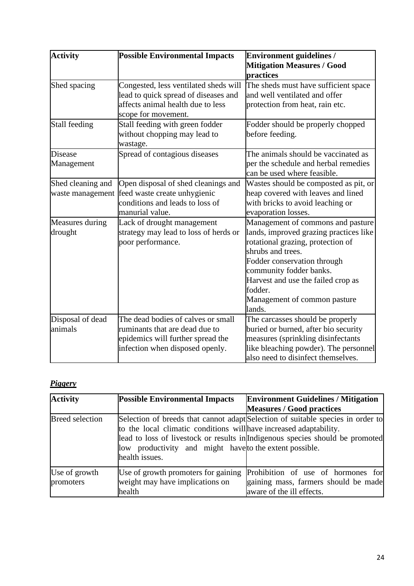| <b>Activity</b>                       | <b>Possible Environmental Impacts</b>                                                                                                        | <b>Environment guidelines /</b><br><b>Mitigation Measures / Good</b><br>practices                                                                                                                                                                                                          |
|---------------------------------------|----------------------------------------------------------------------------------------------------------------------------------------------|--------------------------------------------------------------------------------------------------------------------------------------------------------------------------------------------------------------------------------------------------------------------------------------------|
| Shed spacing                          | Congested, less ventilated sheds will<br>lead to quick spread of diseases and<br>affects animal health due to less<br>scope for movement.    | The sheds must have sufficient space<br>and well ventilated and offer<br>protection from heat, rain etc.                                                                                                                                                                                   |
| Stall feeding                         | Stall feeding with green fodder<br>without chopping may lead to<br>wastage.                                                                  | Fodder should be properly chopped<br>before feeding.                                                                                                                                                                                                                                       |
| <b>Disease</b><br>Management          | Spread of contagious diseases                                                                                                                | The animals should be vaccinated as<br>per the schedule and herbal remedies<br>can be used where feasible.                                                                                                                                                                                 |
| Shed cleaning and<br>waste management | Open disposal of shed cleanings and<br>feed waste create unhygienic<br>conditions and leads to loss of<br>manurial value.                    | Wastes should be composted as pit, or<br>heap covered with leaves and lined<br>with bricks to avoid leaching or<br>evaporation losses.                                                                                                                                                     |
| Measures during<br>drought            | Lack of drought management<br>strategy may lead to loss of herds or<br>poor performance.                                                     | Management of commons and pasture<br>lands, improved grazing practices like<br>rotational grazing, protection of<br>shrubs and trees.<br>Fodder conservation through<br>community fodder banks.<br>Harvest and use the failed crop as<br>fodder.<br>Management of common pasture<br>lands. |
| Disposal of dead<br>animals           | The dead bodies of calves or small<br>ruminants that are dead due to<br>epidemics will further spread the<br>infection when disposed openly. | The carcasses should be properly<br>buried or burned, after bio security<br>measures (sprinkling disinfectants<br>like bleaching powder). The personnel<br>also need to disinfect themselves.                                                                                              |

# *Piggery*

| <b>Activity</b>            | <b>Possible Environmental Impacts</b>                                                                                                           | <b>Environment Guidelines / Mitigation</b><br><b>Measures / Good practices</b>                                                                                   |
|----------------------------|-------------------------------------------------------------------------------------------------------------------------------------------------|------------------------------------------------------------------------------------------------------------------------------------------------------------------|
| <b>Breed selection</b>     | to the local climatic conditions will have increased adaptability.<br>low productivity and might have to the extent possible.<br>health issues. | Selection of breeds that cannot adapt Selection of suitable species in order to<br>lead to loss of livestock or results in Indigenous species should be promoted |
| Use of growth<br>promoters | Use of growth promoters for gaining<br>weight may have implications on<br>health                                                                | Prohibition of use of hormones for<br>gaining mass, farmers should be made<br>aware of the ill effects.                                                          |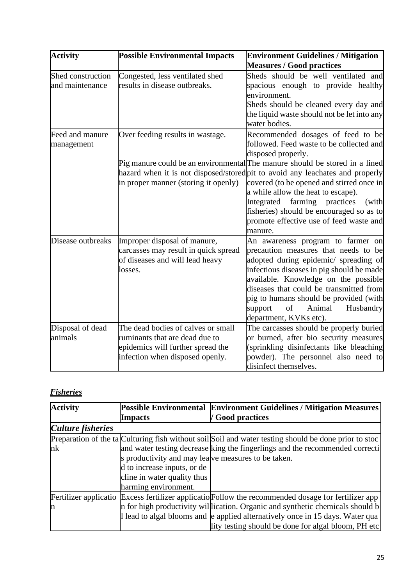| <b>Activity</b>                      | <b>Possible Environmental Impacts</b>                                                                                                        | <b>Environment Guidelines / Mitigation</b><br><b>Measures / Good practices</b>                                                                                                                                                                                                                                                                                                                                                                                                         |
|--------------------------------------|----------------------------------------------------------------------------------------------------------------------------------------------|----------------------------------------------------------------------------------------------------------------------------------------------------------------------------------------------------------------------------------------------------------------------------------------------------------------------------------------------------------------------------------------------------------------------------------------------------------------------------------------|
| Shed construction<br>and maintenance | Congested, less ventilated shed<br>results in disease outbreaks.                                                                             | Sheds should be well ventilated and<br>spacious enough to provide healthy<br>environment.<br>Sheds should be cleaned every day and<br>the liquid waste should not be let into any<br>water bodies.                                                                                                                                                                                                                                                                                     |
| Feed and manure<br>management        | Over feeding results in wastage.<br>in proper manner (storing it openly)                                                                     | Recommended dosages of feed to be<br>followed. Feed waste to be collected and<br>disposed properly.<br>Pig manure could be an environmental The manure should be stored in a lined<br>hazard when it is not disposed/stored pit to avoid any leachates and properly<br>covered (to be opened and stirred once in<br>a while allow the heat to escape).<br>Integrated farming practices<br>(with<br>fisheries) should be encouraged so as to<br>promote effective use of feed waste and |
| Disease outbreaks                    | Improper disposal of manure,<br>carcasses may result in quick spread<br>of diseases and will lead heavy<br>losses.                           | manure.<br>An awareness program to farmer on<br>precaution measures that needs to be<br>adopted during epidemic/ spreading of<br>infectious diseases in pig should be made<br>available. Knowledge on the possible<br>diseases that could be transmitted from<br>pig to humans should be provided (with<br>of<br>support<br>Animal<br>Husbandry<br>department, KVKs etc).                                                                                                              |
| Disposal of dead<br>animals          | The dead bodies of calves or small<br>ruminants that are dead due to<br>epidemics will further spread the<br>infection when disposed openly. | The carcasses should be properly buried<br>or burned, after bio security measures<br>(sprinkling disinfectants like bleaching<br>powder). The personnel also need to<br>disinfect themselves.                                                                                                                                                                                                                                                                                          |

# *Fisheries*

| <b>Activity</b>          |                                                     | Possible Environmental Environment Guidelines / Mitigation Measures                                   |
|--------------------------|-----------------------------------------------------|-------------------------------------------------------------------------------------------------------|
|                          | <b>Impacts</b>                                      | <b>Good practices</b>                                                                                 |
| <b>Culture fisheries</b> |                                                     |                                                                                                       |
|                          |                                                     | Preparation of the ta Culturing fish without soil Soil and water testing should be done prior to stoc |
| nk                       |                                                     | and water testing decrease king the fingerlings and the recommended correcti                          |
|                          | s productivity and may lealve measures to be taken. |                                                                                                       |
|                          | d to increase inputs, or de                         |                                                                                                       |
|                          | cline in water quality thus                         |                                                                                                       |
|                          | harming environment.                                |                                                                                                       |
|                          |                                                     | Fertilizer applicatio Excess fertilizer applicatio Follow the recommended dosage for fertilizer app   |
| In                       |                                                     | n for high productivity will lication. Organic and synthetic chemicals should b                       |
|                          |                                                     | I lead to algal blooms and e applied alternatively once in 15 days. Water qua                         |
|                          |                                                     | lity testing should be done for algal bloom, PH etc                                                   |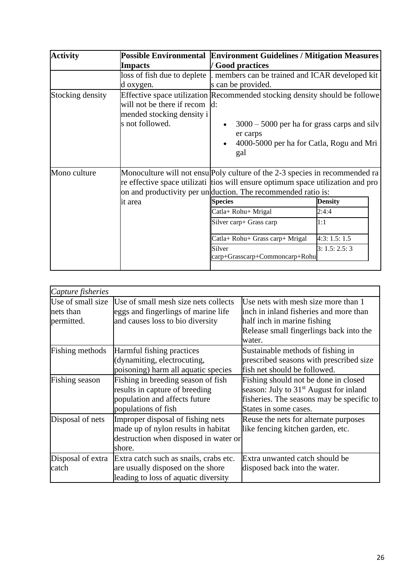| <b>Activity</b>  |                                                                               | Possible Environmental Environment Guidelines / Mitigation Measures                                                                                                                                                            |                |  |  |
|------------------|-------------------------------------------------------------------------------|--------------------------------------------------------------------------------------------------------------------------------------------------------------------------------------------------------------------------------|----------------|--|--|
|                  | <b>Impacts</b>                                                                | / Good practices                                                                                                                                                                                                               |                |  |  |
|                  | loss of fish due to deplete                                                   | members can be trained and ICAR developed kit                                                                                                                                                                                  |                |  |  |
|                  | d oxygen.                                                                     | s can be provided.                                                                                                                                                                                                             |                |  |  |
| Stocking density | will not be there if recom d:<br>mended stocking density i<br>s not followed. | Effective space utilization Recommended stocking density should be followe<br>$3000 - 5000$ per ha for grass carps and silv<br>er carps<br>4000-5000 per ha for Catla, Rogu and Mri<br>gal                                     |                |  |  |
| Mono culture     |                                                                               | Monoculture will not ensulpoly culture of the 2-3 species in recommended ra<br>re effective space utilizati tios will ensure optimum space utilization and pro<br>on and productivity per unduction. The recommended ratio is: |                |  |  |
|                  | it area                                                                       | <b>Species</b>                                                                                                                                                                                                                 | <b>Density</b> |  |  |
|                  |                                                                               | Catla+ Rohu+ Mrigal                                                                                                                                                                                                            | 2:4:4          |  |  |
|                  |                                                                               | Silver carp+ Grass carp                                                                                                                                                                                                        | 1:1            |  |  |
|                  |                                                                               | Catla+ Rohu+ Grass carp+ Mrigal                                                                                                                                                                                                | 4:3:1.5:1.5    |  |  |
|                  |                                                                               | 3: 1.5: 2.5: 3<br>carp+Grasscarp+Commoncarp+Rohu                                                                                                                                                                               |                |  |  |

| Capture fisheries |                                        |                                                    |
|-------------------|----------------------------------------|----------------------------------------------------|
| Use of small size | Use of small mesh size nets collects   | Use nets with mesh size more than 1                |
| nets than         | eggs and fingerlings of marine life    | inch in inland fisheries and more than             |
| permitted.        | and causes loss to bio diversity       | half inch in marine fishing                        |
|                   |                                        | Release small fingerlings back into the            |
|                   |                                        | water.                                             |
| Fishing methods   | Harmful fishing practices              | Sustainable methods of fishing in                  |
|                   | (dynamiting, electrocuting,            | prescribed seasons with prescribed size            |
|                   | poisoning) harm all aquatic species    | fish net should be followed.                       |
| Fishing season    | Fishing in breeding season of fish     | Fishing should not be done in closed               |
|                   | results in capture of breeding         | season: July to 31 <sup>st</sup> August for inland |
|                   | population and affects future          | fisheries. The seasons may be specific to          |
|                   | populations of fish                    | States in some cases.                              |
| Disposal of nets  | Improper disposal of fishing nets      | Reuse the nets for alternate purposes              |
|                   | made up of nylon results in habitat    | like fencing kitchen garden, etc.                  |
|                   | destruction when disposed in water or  |                                                    |
|                   | shore.                                 |                                                    |
| Disposal of extra | Extra catch such as snails, crabs etc. | Extra unwanted catch should be                     |
| catch             | are usually disposed on the shore      | disposed back into the water.                      |
|                   | leading to loss of aquatic diversity   |                                                    |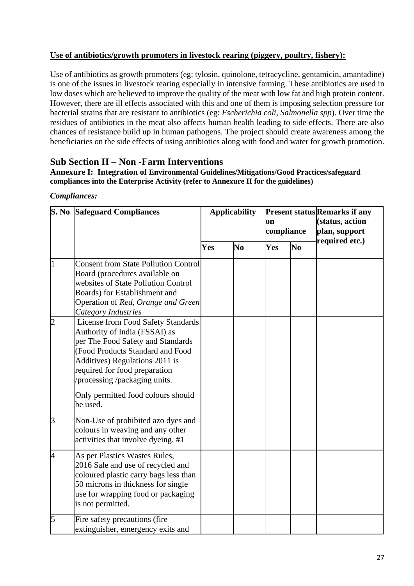#### **Use of antibiotics/growth promoters in livestock rearing (piggery, poultry, fishery):**

Use of antibiotics as growth promoters (eg: tylosin, quinolone, tetracycline, gentamicin, amantadine) is one of the issues in livestock rearing especially in intensive farming. These antibiotics are used in low doses which are believed to improve the quality of the meat with low fat and high protein content. However, there are ill effects associated with this and one of them is imposing selection pressure for bacterial strains that are resistant to antibiotics (eg: *Escherichia coli, Salmonella spp*). Over time the residues of antibiotics in the meat also affects human health leading to side effects. There are also chances of resistance build up in human pathogens. The project should create awareness among the beneficiaries on the side effects of using antibiotics along with food and water for growth promotion.

### **Sub Section II – Non -Farm Interventions**

**Annexure I: Integration of Environmental Guidelines/Mitigations/Good Practices/safeguard compliances into the Enterprise Activity (refer to Annexure II for the guidelines)**

| Compliances: |
|--------------|
|--------------|

| S. No          | <b>Safeguard Compliances</b>                                                                                                                                                                                                                                                                             | <b>Applicability</b> |          | on<br>compliance |                | <b>Present status Remarks if any</b><br>(status, action<br>plan, support |
|----------------|----------------------------------------------------------------------------------------------------------------------------------------------------------------------------------------------------------------------------------------------------------------------------------------------------------|----------------------|----------|------------------|----------------|--------------------------------------------------------------------------|
|                |                                                                                                                                                                                                                                                                                                          | Yes                  | $\bf No$ | Yes              | N <sub>0</sub> | required etc.)                                                           |
| $\overline{1}$ | <b>Consent from State Pollution Control</b><br>Board (procedures available on<br>websites of State Pollution Control<br>Boards) for Establishment and<br>Operation of Red, Orange and Green<br>Category Industries                                                                                       |                      |          |                  |                |                                                                          |
| $\overline{2}$ | <b>License from Food Safety Standards</b><br>Authority of India (FSSAI) as<br>per The Food Safety and Standards<br>(Food Products Standard and Food<br>Additives) Regulations 2011 is<br>required for food preparation<br>processing /packaging units.<br>Only permitted food colours should<br>be used. |                      |          |                  |                |                                                                          |
| 3              | Non-Use of prohibited azo dyes and<br>colours in weaving and any other<br>activities that involve dyeing. #1                                                                                                                                                                                             |                      |          |                  |                |                                                                          |
| 4              | As per Plastics Wastes Rules,<br>2016 Sale and use of recycled and<br>coloured plastic carry bags less than<br>50 microns in thickness for single<br>use for wrapping food or packaging<br>is not permitted.                                                                                             |                      |          |                  |                |                                                                          |
| 5              | Fire safety precautions (fire<br>extinguisher, emergency exits and                                                                                                                                                                                                                                       |                      |          |                  |                |                                                                          |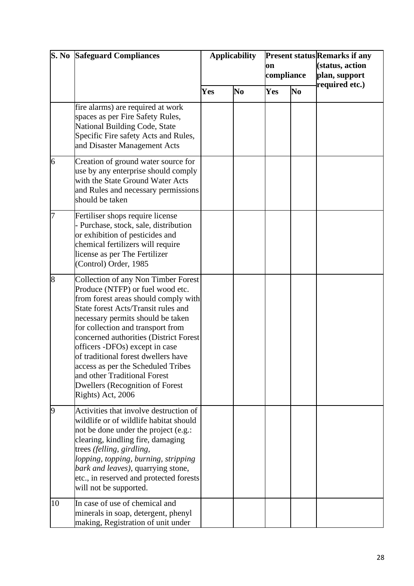|                | <b>S. No Safeguard Compliances</b>                                                                                                                                                                                                                                                                                                                                                                                                                                                              | <b>Applicability</b> |                | on<br>compliance |                | <b>Present status Remarks if any</b><br>(status, action<br>plan, support<br>required etc.) |  |
|----------------|-------------------------------------------------------------------------------------------------------------------------------------------------------------------------------------------------------------------------------------------------------------------------------------------------------------------------------------------------------------------------------------------------------------------------------------------------------------------------------------------------|----------------------|----------------|------------------|----------------|--------------------------------------------------------------------------------------------|--|
|                |                                                                                                                                                                                                                                                                                                                                                                                                                                                                                                 | Yes                  | N <sub>0</sub> | Yes              | N <sub>0</sub> |                                                                                            |  |
|                | fire alarms) are required at work<br>spaces as per Fire Safety Rules,<br>National Building Code, State<br>Specific Fire safety Acts and Rules,<br>and Disaster Management Acts                                                                                                                                                                                                                                                                                                                  |                      |                |                  |                |                                                                                            |  |
| 6              | Creation of ground water source for<br>use by any enterprise should comply<br>with the State Ground Water Acts<br>and Rules and necessary permissions<br>should be taken                                                                                                                                                                                                                                                                                                                        |                      |                |                  |                |                                                                                            |  |
| 7              | Fertiliser shops require license<br>Purchase, stock, sale, distribution<br>or exhibition of pesticides and<br>chemical fertilizers will require<br>license as per The Fertilizer<br>(Control) Order, 1985                                                                                                                                                                                                                                                                                       |                      |                |                  |                |                                                                                            |  |
| $\overline{8}$ | <b>Collection of any Non Timber Forest</b><br>Produce (NTFP) or fuel wood etc.<br>from forest areas should comply with<br>State forest Acts/Transit rules and<br>necessary permits should be taken<br>for collection and transport from<br>concerned authorities (District Forest<br>officers -DFOs) except in case<br>of traditional forest dwellers have<br>access as per the Scheduled Tribes<br>and other Traditional Forest<br><b>Dwellers (Recognition of Forest</b><br>Rights) Act, 2006 |                      |                |                  |                |                                                                                            |  |
| 9              | Activities that involve destruction of<br>wildlife or of wildlife habitat should<br>not be done under the project (e.g.:<br>clearing, kindling fire, damaging<br>trees (felling, girdling,<br>lopping, topping, burning, stripping<br>bark and leaves), quarrying stone,<br>etc., in reserved and protected forests<br>will not be supported.                                                                                                                                                   |                      |                |                  |                |                                                                                            |  |
| 10             | In case of use of chemical and<br>minerals in soap, detergent, phenyl<br>making, Registration of unit under                                                                                                                                                                                                                                                                                                                                                                                     |                      |                |                  |                |                                                                                            |  |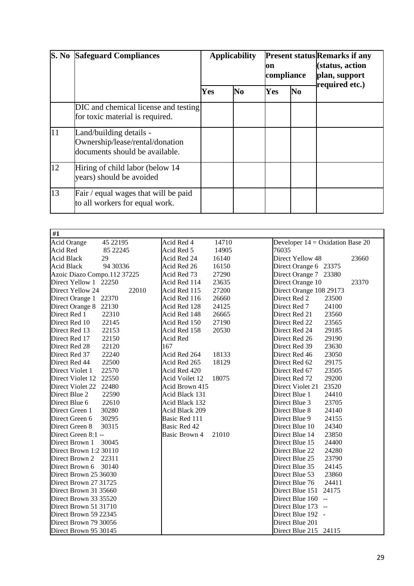| $\overline{\mathbf{S}}$ . No | <b>Safeguard Compliances</b>                                                                 | <b>Applicability</b> |                | on<br>compliance |                | <b>Present status Remarks if any</b><br>(status, action<br>plan, support<br>required etc.) |
|------------------------------|----------------------------------------------------------------------------------------------|----------------------|----------------|------------------|----------------|--------------------------------------------------------------------------------------------|
|                              |                                                                                              | Yes                  | N <sub>0</sub> | Yes              | N <sub>0</sub> |                                                                                            |
|                              | DIC and chemical license and testing<br>for toxic material is required.                      |                      |                |                  |                |                                                                                            |
| 11                           | Land/building details -<br>Ownership/lease/rental/donation<br>documents should be available. |                      |                |                  |                |                                                                                            |
| 12                           | Hiring of child labor (below 14<br>years) should be avoided                                  |                      |                |                  |                |                                                                                            |
| 13                           | Fair / equal wages that will be paid<br>to all workers for equal work.                       |                      |                |                  |                |                                                                                            |

| $\overline{41}$             |           |                |       |                                    |       |
|-----------------------------|-----------|----------------|-------|------------------------------------|-------|
| <b>Acid Orange</b>          | 45 22195  | Acid Red 4     | 14710 | Developer $14 = Oxidation$ Base 20 |       |
| Acid Red                    | 85 22 245 | Acid Red 5     | 14905 | 76035                              |       |
| <b>Acid Black</b>           | 29        | Acid Red 24    | 16140 | Direct Yellow 48                   | 23660 |
| <b>Acid Black</b>           | 94 30 336 | Acid Red 26    | 16150 | Direct Orange 6 23375              |       |
| Azoic Diazo Compo.112 37225 |           | Acid Red 73    | 27290 | Direct Orange 7 23380              |       |
| Direct Yellow 1 22250       |           | Acid Red 114   | 23635 | Direct Orange 10                   | 23370 |
| Direct Yellow 24            | 22010     | Acid Red 115   | 27200 | Direct Orange 108 29173            |       |
| Direct Orange 1 22370       |           | Acid Red 116   | 26660 | Direct Red 2<br>23500              |       |
| Direct Orange 8 22130       |           | Acid Red 128   | 24125 | Direct Red 7<br>24100              |       |
| Direct Red 1                | 22310     | Acid Red 148   | 26665 | Direct Red 21<br>23560             |       |
| Direct Red 10               | 22145     | Acid Red 150   | 27190 | Direct Red 22<br>23565             |       |
| Direct Red 13               | 22153     | Acid Red 158   | 20530 | Direct Red 24<br>29185             |       |
| Direct Red 17               | 22150     | Acid Red       |       | 29190<br>Direct Red 26             |       |
| Direct Red 28               | 22120     | 167            |       | Direct Red 39<br>23630             |       |
| Direct Red 37               | 22240     | Acid Red 264   | 18133 | Direct Red 46<br>23050             |       |
| Direct Red 44               | 22500     | Acid Red 265   | 18129 | 29175<br>Direct Red 62             |       |
| Direct Violet 1             | 22570     | Acid Red 420   |       | 23505<br>Direct Red 67             |       |
| Direct Violet 12            | 22550     | Acid Voilet 12 | 18075 | 29200<br>Direct Red 72             |       |
| Direct Violet 22            | 22480     | Acid Brown 415 |       | Direct Violet 21<br>23520          |       |
| Direct Blue 2               | 22590     | Acid Black 131 |       | Direct Blue 1<br>24410             |       |
| Direct Blue 6               | 22610     | Acid Black 132 |       | Direct Blue 3<br>23705             |       |
| Direct Green 1              | 30280     | Acid Black 209 |       | Direct Blue 8<br>24140             |       |
| Direct Green 6              | 30295     | Basic Red 111  |       | Direct Blue 9<br>24155             |       |
| Direct Green 8              | 30315     | Basic Red 42   |       | Direct Blue 10<br>24340            |       |
| Direct Green 8:1 --         |           | Basic Brown 4  | 21010 | Direct Blue 14<br>23850            |       |
| Direct Brown 1              | 30045     |                |       | Direct Blue 15<br>24400            |       |
| Direct Brown 1:2 30110      |           |                |       | Direct Blue 22<br>24280            |       |
| Direct Brown 2              | 22311     |                |       | Direct Blue 25<br>23790            |       |
| Direct Brown 6              | 30140     |                |       | Direct Blue 35<br>24145            |       |
| Direct Brown 25 36030       |           |                |       | Direct Blue 53<br>23860            |       |
| Direct Brown 27 31725       |           |                |       | Direct Blue 76<br>24411            |       |
| Direct Brown 31 35660       |           |                |       | Direct Blue 151<br>24175           |       |
| Direct Brown 33 35520       |           |                |       | Direct Blue 160 --                 |       |
| Direct Brown 51 31710       |           |                |       | Direct Blue 173 --                 |       |
| Direct Brown 59 22345       |           |                |       | Direct Blue 192 -                  |       |
| Direct Brown 79 30056       |           |                |       | Direct Blue 201                    |       |
| Direct Brown 95 30145       |           |                |       | Direct Blue 215 24115              |       |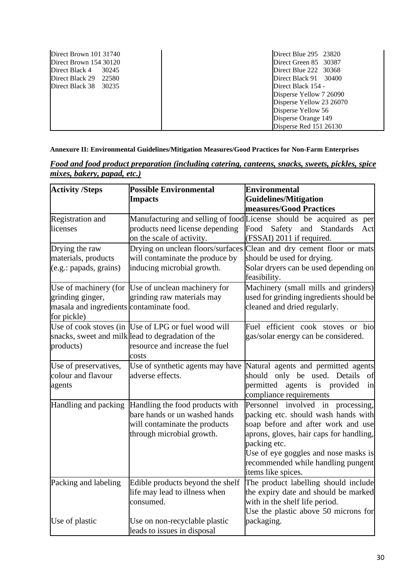| Direct Brown 101 31740  | Direct Blue $295$ $23820$     |
|-------------------------|-------------------------------|
| Direct Brown 154 30120  | Direct Green 85 30387         |
| Direct Black 4<br>30245 | Direct Blue $222 \quad 30368$ |
| Direct Black $29$ 22580 | Direct Black 91 30400         |
| Direct Black 38 30235   | Direct Black 154 -            |
|                         | Disperse Yellow 7 26090       |
|                         | Disperse Yellow 23 26070      |
|                         | Disperse Yellow 56            |
|                         | Disperse Orange 149           |
|                         | Disperse Red 151 26130        |

**Annexure II: Environmental Guidelines/Mitigation Measures/Good Practices for Non-Farm Enterprises**

| <b>Activity /Steps</b>                                                      | <b>Possible Environmental</b><br><b>Impacts</b>                                                                                                     | Environmental<br><b>Guidelines/Mitigation</b><br>measures/Good Practices                                                                                                                                                                                                         |
|-----------------------------------------------------------------------------|-----------------------------------------------------------------------------------------------------------------------------------------------------|----------------------------------------------------------------------------------------------------------------------------------------------------------------------------------------------------------------------------------------------------------------------------------|
| <b>Registration</b> and<br>licenses                                         | products need license depending<br>on the scale of activity.                                                                                        | Manufacturing and selling of food License should be acquired as<br>per<br>Food<br>Safety and<br><b>Standards</b><br>Act<br>(FSSAI) 2011 if required.                                                                                                                             |
| Drying the raw<br>materials, products<br>$(e.g.:$ papads, grains)           | will contaminate the produce by<br>inducing microbial growth.                                                                                       | Drying on unclean floors/surfaces Clean and dry cement floor or mats<br>should be used for drying.<br>Solar dryers can be used depending on<br>feasibility.                                                                                                                      |
| grinding ginger,<br>masala and ingredients contaminate food.<br>for pickle) | Use of machinery (for Use of unclean machinery for<br>grinding raw materials may                                                                    | Machinery (small mills and grinders)<br>used for grinding ingredients should be<br>cleaned and dried regularly.                                                                                                                                                                  |
| products)                                                                   | Use of cook stoves (in Use of LPG or fuel wood will<br>snacks, sweet and milk lead to degradation of the<br>resource and increase the fuel<br>costs | Fuel efficient cook stoves or bio<br>gas/solar energy can be considered.                                                                                                                                                                                                         |
| Use of preservatives,<br>colour and flavour<br>agents                       | Use of synthetic agents may have<br>adverse effects.                                                                                                | Natural agents and permitted agents<br>should only be used. Details<br>of<br>permitted<br>agents is provided<br>in<br>compliance requirements                                                                                                                                    |
| Handling and packing                                                        | Handling the food products with<br>bare hands or un washed hands<br>will contaminate the products<br>through microbial growth.                      | Personnel involved in<br>processing,<br>packing etc. should wash hands with<br>soap before and after work and use<br>aprons, gloves, hair caps for handling,<br>packing etc.<br>Use of eye goggles and nose masks is<br>recommended while handling pungent<br>items like spices. |
| Packing and labeling                                                        | Edible products beyond the shelf<br>life may lead to illness when<br>consumed.                                                                      | The product labelling should include<br>the expiry date and should be marked<br>with in the shelf life period.<br>Use the plastic above 50 microns for                                                                                                                           |
| Use of plastic                                                              | Use on non-recyclable plastic<br>leads to issues in disposal                                                                                        | packaging.                                                                                                                                                                                                                                                                       |

*Food and food product preparation (including catering, canteens, snacks, sweets, pickles, spice mixes, bakery, papad, etc.)*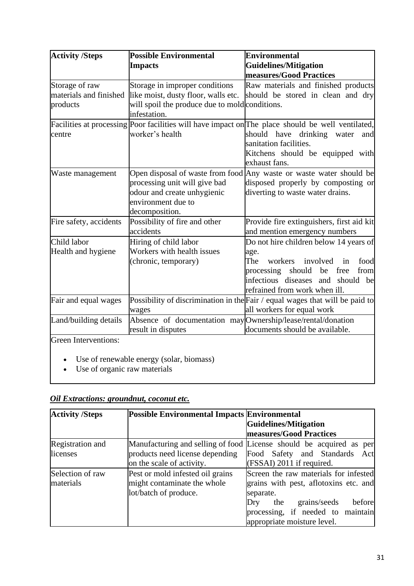| <b>Activity /Steps</b>                               | <b>Possible Environmental</b><br><b>Impacts</b>                                                                                         | <b>Environmental</b><br><b>Guidelines/Mitigation</b><br>measures/Good Practices                                                                                                                                             |
|------------------------------------------------------|-----------------------------------------------------------------------------------------------------------------------------------------|-----------------------------------------------------------------------------------------------------------------------------------------------------------------------------------------------------------------------------|
| Storage of raw<br>materials and finished<br>products | Storage in improper conditions<br>like moist, dusty floor, walls etc.<br>will spoil the produce due to mold conditions.<br>infestation. | Raw materials and finished products<br>should be stored in clean and dry                                                                                                                                                    |
| centre                                               | worker's health                                                                                                                         | Facilities at processing Poor facilities will have impact on The place should be well ventilated,<br>should have<br>drinking<br>water<br>and<br>sanitation facilities.<br>Kitchens should be equipped with<br>exhaust fans. |
| Waste management                                     | processing unit will give bad<br>odour and create unhygienic<br>environment due to<br>decomposition.                                    | Open disposal of waste from food Any waste or waste water should be<br>disposed properly by composting or<br>diverting to waste water drains.                                                                               |
| Fire safety, accidents                               | Possibility of fire and other<br>accidents                                                                                              | Provide fire extinguishers, first aid kit<br>and mention emergency numbers                                                                                                                                                  |
| Child labor<br>Health and hygiene                    | Hiring of child labor<br>Workers with health issues<br>(chronic, temporary)                                                             | Do not hire children below 14 years of<br>age.<br>involved<br>The<br>workers<br>food<br>in<br>processing should<br>free<br>from<br>be<br>infectious diseases and<br>should<br>be<br>refrained from work when ill.           |
| Fair and equal wages                                 | wages                                                                                                                                   | Possibility of discrimination in the Fair / equal wages that will be paid to<br>all workers for equal work                                                                                                                  |
| Land/building details                                | Absence of documentation may Ownership/lease/rental/donation<br>result in disputes                                                      | documents should be available.                                                                                                                                                                                              |
| <b>Green Interventions:</b>                          | Use of renewable energy (solar, biomass)                                                                                                |                                                                                                                                                                                                                             |

• Use of organic raw materials

# *Oil Extractions: groundnut, coconut etc.*

| <b>Activity /Steps</b> | Possible Environmental Impacts Environmental |                                                                     |
|------------------------|----------------------------------------------|---------------------------------------------------------------------|
|                        |                                              | Guidelines/Mitigation                                               |
|                        |                                              | measures/Good Practices                                             |
| Registration and       |                                              | Manufacturing and selling of food License should be acquired as per |
| licenses               | products need license depending              | Food Safety and Standards<br>Act                                    |
|                        | on the scale of activity.                    | (FSSAI) 2011 if required.                                           |
| Selection of raw       | Pest or mold infested oil grains             | Screen the raw materials for infested                               |
| materials              | might contaminate the whole                  | grains with pest, aflotoxins etc. and                               |
|                        | lot/batch of produce.                        | separate.                                                           |
|                        |                                              | before<br>grains/seeds<br>the<br>Dry                                |
|                        |                                              | processing, if needed to maintain                                   |
|                        |                                              | appropriate moisture level.                                         |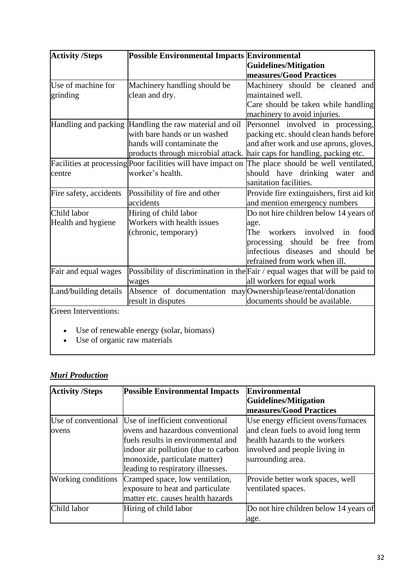| <b>Activity /Steps</b>      | Possible Environmental Impacts Environmental                 |                                                                              |
|-----------------------------|--------------------------------------------------------------|------------------------------------------------------------------------------|
|                             |                                                              | Guidelines/Mitigation                                                        |
|                             |                                                              | measures/Good Practices                                                      |
| Use of machine for          | Machinery handling should be                                 | Machinery should be cleaned and                                              |
| grinding                    | clean and dry.                                               | maintained well.                                                             |
|                             |                                                              | Care should be taken while handling                                          |
|                             |                                                              | machinery to avoid injuries.                                                 |
|                             | Handling and packing Handling the raw material and oil       | Personnel involved in processing,                                            |
|                             | with bare hands or un washed                                 | packing etc. should clean hands before                                       |
|                             | hands will contaminate the                                   | and after work and use aprons, gloves,                                       |
|                             | products through microbial attack.                           | hair caps for handling, packing etc.                                         |
|                             | Facilities at processing Poor facilities will have impact on | The place should be well ventilated,                                         |
| centre                      | worker's health.                                             | should have drinking water<br>and                                            |
|                             |                                                              | sanitation facilities.                                                       |
| Fire safety, accidents      | Possibility of fire and other                                | Provide fire extinguishers, first aid kit                                    |
|                             | accidents                                                    | and mention emergency numbers                                                |
| Child labor                 | Hiring of child labor                                        | Do not hire children below 14 years of                                       |
| Health and hygiene          | Workers with health issues                                   | age.                                                                         |
|                             | (chronic, temporary)                                         | involved<br>The<br>workers<br>food<br>in                                     |
|                             |                                                              | be<br>processing should<br>free<br>from                                      |
|                             |                                                              | infectious diseases and should<br>be                                         |
|                             |                                                              | refrained from work when ill.                                                |
| Fair and equal wages        |                                                              | Possibility of discrimination in the Fair / equal wages that will be paid to |
|                             | wages                                                        | all workers for equal work                                                   |
| Land/building details       | Absence of documentation may Ownership/lease/rental/donation |                                                                              |
|                             | result in disputes                                           | documents should be available.                                               |
| <b>Green Interventions:</b> |                                                              |                                                                              |
|                             |                                                              |                                                                              |

- Use of renewable energy (solar, biomass)
- Use of organic raw materials

# *Muri Production*

| <b>Activity /Steps</b>       | <b>Possible Environmental Impacts</b>                                                                                                                                                                                  | <b>Environmental</b><br>Guidelines/Mitigation<br>measures/Good Practices                                                                                         |
|------------------------------|------------------------------------------------------------------------------------------------------------------------------------------------------------------------------------------------------------------------|------------------------------------------------------------------------------------------------------------------------------------------------------------------|
| Use of conventional<br>ovens | Use of inefficient conventional<br>ovens and hazardous conventional<br>fuels results in environmental and<br>indoor air pollution (due to carbon<br>monoxide, particulate matter)<br>leading to respiratory illnesses. | Use energy efficient ovens/furnaces<br>and clean fuels to avoid long term<br>health hazards to the workers<br>involved and people living in<br>surrounding area. |
| Working conditions           | Cramped space, low ventilation,<br>exposure to heat and particulate<br>matter etc. causes health hazards                                                                                                               | Provide better work spaces, well<br>ventilated spaces.                                                                                                           |
| Child labor                  | Hiring of child labor                                                                                                                                                                                                  | Do not hire children below 14 years of<br>age.                                                                                                                   |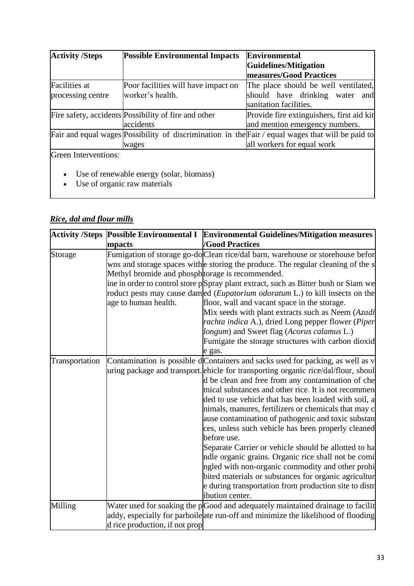| <b>Activity /Steps</b>                                                                | <b>Possible Environmental Impacts</b>                | <b>Environmental</b>                                                                              |  |
|---------------------------------------------------------------------------------------|------------------------------------------------------|---------------------------------------------------------------------------------------------------|--|
|                                                                                       |                                                      | <b>Guidelines/Mitigation</b>                                                                      |  |
|                                                                                       |                                                      | <b>measures/Good Practices</b>                                                                    |  |
| <b>Facilities</b> at                                                                  | Poor facilities will have impact on                  | The place should be well ventilated,                                                              |  |
| processing centre                                                                     | worker's health.                                     | should have drinking water and<br>sanitation facilities.                                          |  |
|                                                                                       | Fire safety, accidents Possibility of fire and other | Provide fire extinguishers, first aid kit                                                         |  |
|                                                                                       | accidents                                            | and mention emergency numbers.                                                                    |  |
|                                                                                       |                                                      | Fair and equal wages Possibility of discrimination in the Fair / equal wages that will be paid to |  |
|                                                                                       | wages                                                | all workers for equal work                                                                        |  |
| Green Interventions:                                                                  |                                                      |                                                                                                   |  |
| Use of renewable energy (solar, biomass)<br>$\bullet$<br>Use of organic raw materials |                                                      |                                                                                                   |  |

# *Rice, dal and flour mills*

|                |                                                                          | Activity /Steps Possible Environmental I Environmental Guidelines/Mitigation measures                                                                                                                                                                                                                                                                                                                                                                                                                                                                                                                                                                                                                                                                                                                                              |
|----------------|--------------------------------------------------------------------------|------------------------------------------------------------------------------------------------------------------------------------------------------------------------------------------------------------------------------------------------------------------------------------------------------------------------------------------------------------------------------------------------------------------------------------------------------------------------------------------------------------------------------------------------------------------------------------------------------------------------------------------------------------------------------------------------------------------------------------------------------------------------------------------------------------------------------------|
|                | mpacts                                                                   | <b>/Good Practices</b>                                                                                                                                                                                                                                                                                                                                                                                                                                                                                                                                                                                                                                                                                                                                                                                                             |
| Storage        | Methyl bromide and phosph torage is recommended.<br>age to human health. | Fumigation of storage go-do Clean rice/dal barn, warehouse or storehouse befor<br>wns and storage spaces with e storing the produce. The regular cleaning of the s<br>ine in order to control store pSpray plant extract, such as Bitter bush or Siam we<br>roduct pests may cause damed ( <i>Eupatorium odoratum</i> L.) to kill insects on the<br>floor, wall and vacant space in the storage.<br>Mix seeds with plant extracts such as Neem (Azadi<br>rachta indica A.), dried Long pepper flower (Piper<br>longum) and Sweet flag (Acorus calamus L.)<br>Fumigate the storage structures with carbon dioxid<br>e gas.                                                                                                                                                                                                          |
| Transportation |                                                                          | Contamination is possible dContainers and sacks used for packing, as well as v<br>uring package and transport. ehicle for transporting organic rice/dal/flour, shoul<br>d be clean and free from any contamination of che<br>mical substances and other rice. It is not recommen<br>ded to use vehicle that has been loaded with soil, a<br>nimals, manures, fertilizers or chemicals that may c<br>ause contamination of pathogenic and toxic substan<br>ces, unless such vehicle has been properly cleaned<br>before use.<br>Separate Carrier or vehicle should be allotted to ha<br>ndle organic grains. Organic rice shall not be comi<br>ngled with non-organic commodity and other prohi<br>bited materials or substances for organic agricultur<br>e during transportation from production site to distr<br>ibution center. |
| Milling        |                                                                          | Water used for soaking the pGood and adequately maintained drainage to facilit                                                                                                                                                                                                                                                                                                                                                                                                                                                                                                                                                                                                                                                                                                                                                     |
|                |                                                                          | addy, especially for parboile ate run-off and minimize the likelihood of flooding                                                                                                                                                                                                                                                                                                                                                                                                                                                                                                                                                                                                                                                                                                                                                  |
|                | d rice production, if not prop                                           |                                                                                                                                                                                                                                                                                                                                                                                                                                                                                                                                                                                                                                                                                                                                                                                                                                    |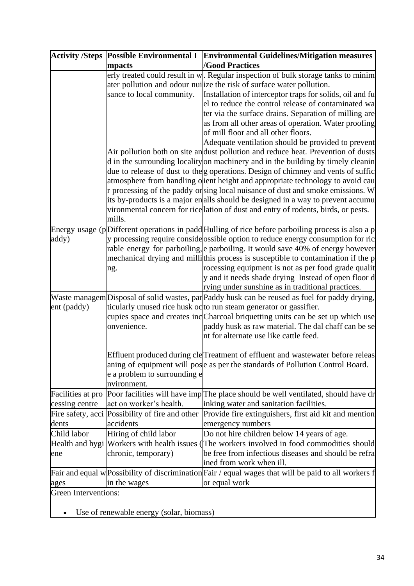|                             |                                                 | Activity /Steps Possible Environmental I Environmental Guidelines/Mitigation measures                                                                                        |  |
|-----------------------------|-------------------------------------------------|------------------------------------------------------------------------------------------------------------------------------------------------------------------------------|--|
|                             | mpacts                                          | <b>/Good Practices</b>                                                                                                                                                       |  |
|                             |                                                 | erly treated could result in w. Regular inspection of bulk storage tanks to minim                                                                                            |  |
|                             |                                                 | ater pollution and odour nuilize the risk of surface water pollution.                                                                                                        |  |
|                             | sance to local community.                       | Installation of interceptor traps for solids, oil and fu                                                                                                                     |  |
|                             |                                                 | el to reduce the control release of contaminated wa                                                                                                                          |  |
|                             |                                                 | ter via the surface drains. Separation of milling are                                                                                                                        |  |
|                             |                                                 | as from all other areas of operation. Water proofing                                                                                                                         |  |
|                             |                                                 | of mill floor and all other floors.                                                                                                                                          |  |
|                             |                                                 | Adequate ventilation should be provided to prevent                                                                                                                           |  |
|                             |                                                 | Air pollution both on site and dust pollution and reduce heat. Prevention of dusts                                                                                           |  |
|                             |                                                 | d in the surrounding locality on machinery and in the building by timely cleanin<br>due to release of dust to the g operations. Design of chimney and vents of suffic        |  |
|                             |                                                 | atmosphere from handling olient height and appropriate technology to avoid cau                                                                                               |  |
|                             |                                                 | r processing of the paddy orsing local nuisance of dust and smoke emissions. W                                                                                               |  |
|                             |                                                 | its by-products is a major en alls should be designed in a way to prevent accumu                                                                                             |  |
|                             |                                                 | vironmental concern for rice lation of dust and entry of rodents, birds, or pests.                                                                                           |  |
|                             | mills.                                          |                                                                                                                                                                              |  |
|                             |                                                 | Energy usage (pDifferent operations in padd Hulling of rice before parboiling process is also a p                                                                            |  |
| addy)                       |                                                 | y processing require consideossible option to reduce energy consumption for ric                                                                                              |  |
|                             |                                                 | rable energy for parboiling, e parboiling. It would save 40% of energy however                                                                                               |  |
|                             |                                                 | mechanical drying and millithis process is susceptible to contamination if the p                                                                                             |  |
|                             | ng.                                             | rocessing equipment is not as per food grade qualit                                                                                                                          |  |
|                             |                                                 | y and it needs shade drying Instead of open floor d                                                                                                                          |  |
|                             |                                                 | rying under sunshine as in traditional practices.                                                                                                                            |  |
|                             |                                                 | Waste managem Disposal of solid wastes, par Paddy husk can be reused as fuel for paddy drying,                                                                               |  |
| ent (paddy)                 |                                                 | ticularly unused rice husk octo run steam generator or gassifier.                                                                                                            |  |
|                             |                                                 | cupies space and creates inc Charcoal briquetting units can be set up which use                                                                                              |  |
|                             | onvenience.                                     | paddy husk as raw material. The dal chaff can be se                                                                                                                          |  |
|                             |                                                 | nt for alternate use like cattle feed.                                                                                                                                       |  |
|                             |                                                 |                                                                                                                                                                              |  |
|                             |                                                 | Effluent produced during cle <sup>T</sup> reatment of effluent and wastewater before releas<br>aning of equipment will pose as per the standards of Pollution Control Board. |  |
|                             | e a problem to surrounding e                    |                                                                                                                                                                              |  |
|                             | nvironment.                                     |                                                                                                                                                                              |  |
| Facilities at pro           |                                                 | Poor facilities will have imp[The place should be well ventilated, should have dr                                                                                            |  |
| cessing centre              | act on worker's health.                         | inking water and sanitation facilities.                                                                                                                                      |  |
|                             | Fire safety, acci Possibility of fire and other | Provide fire extinguishers, first aid kit and mention                                                                                                                        |  |
| dents                       | accidents                                       | emergency numbers                                                                                                                                                            |  |
| Child labor                 | Hiring of child labor                           | Do not hire children below 14 years of age.                                                                                                                                  |  |
|                             |                                                 | Health and hygi Workers with health issues (The workers involved in food commodities should                                                                                  |  |
| ene                         | chronic, temporary)                             | be free from infectious diseases and should be refra                                                                                                                         |  |
|                             |                                                 | ined from work when ill.                                                                                                                                                     |  |
|                             |                                                 | Fair and equal w Possibility of discrimination Fair / equal wages that will be paid to all workers f                                                                         |  |
| ages                        | in the wages                                    | or equal work                                                                                                                                                                |  |
| <b>Green Interventions:</b> |                                                 |                                                                                                                                                                              |  |
|                             |                                                 |                                                                                                                                                                              |  |
|                             | Use of renewable energy (solar, biomass)        |                                                                                                                                                                              |  |

• Use of renewable energy (solar, biomass)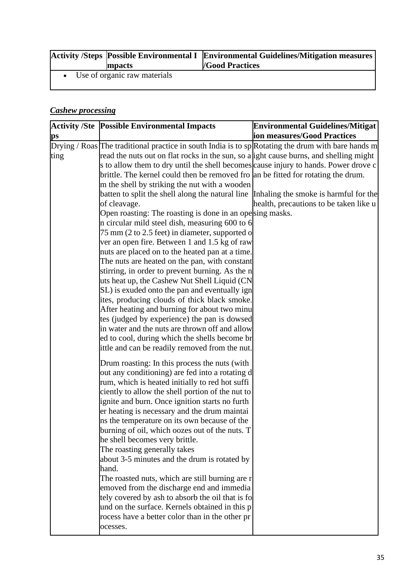| mpacts                         | Activity /Steps Possible Environmental I Environmental Guidelines/Mitigation measures<br><b>/Good Practices</b> |
|--------------------------------|-----------------------------------------------------------------------------------------------------------------|
| • Use of organic raw materials |                                                                                                                 |

### *Cashew processing*

|                        | <b>Activity /Ste Possible Environmental Impacts</b>                                                | <b>Environmental Guidelines/Mitigat</b> |
|------------------------|----------------------------------------------------------------------------------------------------|-----------------------------------------|
| $\mathbf{p}\mathbf{s}$ |                                                                                                    | ion measures/Good Practices             |
|                        | Drying / Roas The traditional practice in south India is to sp Rotating the drum with bare hands m |                                         |
| ting                   | read the nuts out on flat rocks in the sun, so a fight cause burns, and shelling might             |                                         |
|                        | s to allow them to dry until the shell becomes cause injury to hands. Power drove c                |                                         |
|                        | brittle. The kernel could then be removed fro an be fitted for rotating the drum.                  |                                         |
|                        | m the shell by striking the nut with a wooden                                                      |                                         |
|                        | batten to split the shell along the natural line Inhaling the smoke is harmful for the             |                                         |
|                        | of cleavage.                                                                                       | health, precautions to be taken like u  |
|                        | Open roasting: The roasting is done in an opesing masks.                                           |                                         |
|                        | n circular mild steel dish, measuring 600 to 6                                                     |                                         |
|                        | 75 mm (2 to 2.5 feet) in diameter, supported o<br>ver an open fire. Between 1 and 1.5 kg of raw    |                                         |
|                        | nuts are placed on to the heated pan at a time.                                                    |                                         |
|                        | The nuts are heated on the pan, with constant                                                      |                                         |
|                        | stirring, in order to prevent burning. As the n                                                    |                                         |
|                        | uts heat up, the Cashew Nut Shell Liquid (CN                                                       |                                         |
|                        | SL) is exuded onto the pan and eventually ign                                                      |                                         |
|                        | ites, producing clouds of thick black smoke.                                                       |                                         |
|                        | After heating and burning for about two minu                                                       |                                         |
|                        | tes (judged by experience) the pan is dowsed                                                       |                                         |
|                        | in water and the nuts are thrown off and allow                                                     |                                         |
|                        | ed to cool, during which the shells become br                                                      |                                         |
|                        | ittle and can be readily removed from the nut.                                                     |                                         |
|                        | Drum roasting: In this process the nuts (with                                                      |                                         |
|                        | out any conditioning) are fed into a rotating d                                                    |                                         |
|                        | rum, which is heated initially to red hot suffi                                                    |                                         |
|                        | ciently to allow the shell portion of the nut to                                                   |                                         |
|                        | ignite and burn. Once ignition starts no furth                                                     |                                         |
|                        | er heating is necessary and the drum maintai                                                       |                                         |
|                        | ins the temperature on its own because of the                                                      |                                         |
|                        | burning of oil, which oozes out of the nuts. T                                                     |                                         |
|                        | he shell becomes very brittle.                                                                     |                                         |
|                        | The roasting generally takes                                                                       |                                         |
|                        | about 3-5 minutes and the drum is rotated by                                                       |                                         |
|                        | hand.                                                                                              |                                         |
|                        | The roasted nuts, which are still burning are r                                                    |                                         |
|                        | emoved from the discharge end and immedia                                                          |                                         |
|                        | tely covered by ash to absorb the oil that is fo                                                   |                                         |
|                        | und on the surface. Kernels obtained in this p                                                     |                                         |
|                        | rocess have a better color than in the other pr                                                    |                                         |
|                        | ocesses.                                                                                           |                                         |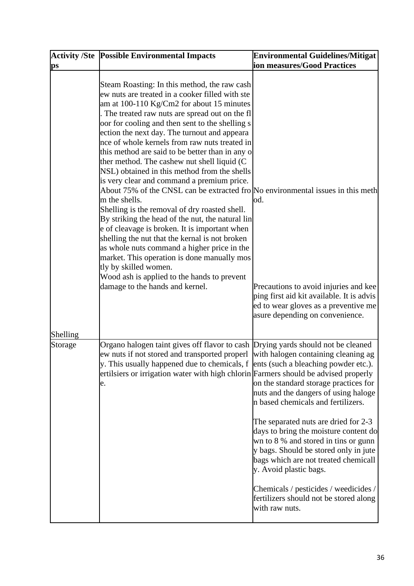|                        | <b>Activity /Ste Possible Environmental Impacts</b>                                                                                                                                                                                                                                                                                                                                                                                                                                                                                                                                                                                                                                                                                                                                                                                                                                                                                                                                                                                                                       | <b>Environmental Guidelines/Mitigat</b>                                                                                                                                                                                                                                                                                                                                                                                                                      |
|------------------------|---------------------------------------------------------------------------------------------------------------------------------------------------------------------------------------------------------------------------------------------------------------------------------------------------------------------------------------------------------------------------------------------------------------------------------------------------------------------------------------------------------------------------------------------------------------------------------------------------------------------------------------------------------------------------------------------------------------------------------------------------------------------------------------------------------------------------------------------------------------------------------------------------------------------------------------------------------------------------------------------------------------------------------------------------------------------------|--------------------------------------------------------------------------------------------------------------------------------------------------------------------------------------------------------------------------------------------------------------------------------------------------------------------------------------------------------------------------------------------------------------------------------------------------------------|
| $\mathbf{p}\mathbf{s}$ |                                                                                                                                                                                                                                                                                                                                                                                                                                                                                                                                                                                                                                                                                                                                                                                                                                                                                                                                                                                                                                                                           | ion measures/Good Practices                                                                                                                                                                                                                                                                                                                                                                                                                                  |
| Shelling               | Steam Roasting: In this method, the raw cash<br>ew nuts are treated in a cooker filled with ste<br>am at $100-110$ Kg/Cm2 for about 15 minutes<br>The treated raw nuts are spread out on the fl<br>oor for cooling and then sent to the shelling s<br>ection the next day. The turnout and appeara<br>nce of whole kernels from raw nuts treated in<br>this method are said to be better than in any o<br>ther method. The cashew nut shell liquid (C)<br>NSL) obtained in this method from the shells<br>is very clear and command a premium price.<br>About 75% of the CNSL can be extracted fro No environmental issues in this meth<br>m the shells.<br>Shelling is the removal of dry roasted shell.<br>By striking the head of the nut, the natural lin<br>e of cleavage is broken. It is important when<br>shelling the nut that the kernal is not broken<br>as whole nuts command a higher price in the<br>market. This operation is done manually mos<br>tly by skilled women.<br>Wood ash is applied to the hands to prevent<br>damage to the hands and kernel. | od.<br>Precautions to avoid injuries and kee<br>ping first aid kit available. It is advis<br>ed to wear gloves as a preventive me<br>asure depending on convenience.                                                                                                                                                                                                                                                                                         |
| Storage                | Organo halogen taint gives off flavor to cash Drying yards should not be cleaned<br>ew nuts if not stored and transported properl with halogen containing cleaning ag<br>y. This usually happened due to chemicals, $f$ ents (such a bleaching powder etc.).<br>ertilsiers or irrigation water with high chlorin Farmers should be advised properly<br>e.                                                                                                                                                                                                                                                                                                                                                                                                                                                                                                                                                                                                                                                                                                                 | on the standard storage practices for<br>nuts and the dangers of using haloge<br>n based chemicals and fertilizers.<br>The separated nuts are dried for 2-3<br>days to bring the moisture content do<br>wn to 8 % and stored in tins or gunn<br>y bags. Should be stored only in jute<br>bags which are not treated chemicall<br>y. Avoid plastic bags.<br>Chemicals / pesticides / weedicides /<br>fertilizers should not be stored along<br>with raw nuts. |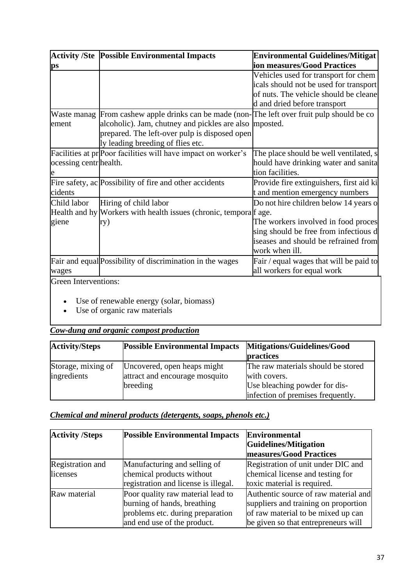|                        | <b>Activity /Ste Possible Environmental Impacts</b>                                         | <b>Environmental Guidelines/Mitigat</b>  |
|------------------------|---------------------------------------------------------------------------------------------|------------------------------------------|
| $\mathbf{p}\mathbf{s}$ |                                                                                             | ion measures/Good Practices              |
|                        |                                                                                             | Vehicles used for transport for chem     |
|                        |                                                                                             | icals should not be used for transport   |
|                        |                                                                                             | of nuts. The vehicle should be cleane    |
|                        |                                                                                             | d and dried before transport             |
|                        | Waste manag From cashew apple drinks can be made (non-The left over fruit pulp should be co |                                          |
| ement                  | alcoholic). Jam, chutney and pickles are also mposted.                                      |                                          |
|                        | prepared. The left-over pulp is disposed open                                               |                                          |
|                        | ly leading breeding of flies etc.                                                           |                                          |
|                        | Facilities at pr Poor facilities will have impact on worker's                               | The place should be well ventilated, s   |
| ocessing centr health. |                                                                                             | hould have drinking water and sanita     |
|                        |                                                                                             | tion facilities.                         |
|                        | Fire safety, ac Possibility of fire and other accidents                                     | Provide fire extinguishers, first aid ki |
| cidents                |                                                                                             | t and mention emergency numbers          |
| Child labor            | Hiring of child labor                                                                       | Do not hire children below 14 years o    |
|                        | Health and hy Workers with health issues (chronic, temporal fage.                           |                                          |
| giene                  | ry)                                                                                         | The workers involved in food proces      |
|                        |                                                                                             | sing should be free from infectious d    |
|                        |                                                                                             | iseases and should be refrained from     |
|                        |                                                                                             | work when ill.                           |
|                        | Fair and equal Possibility of discrimination in the wages                                   | Fair / equal wages that will be paid to  |
| wages                  |                                                                                             | all workers for equal work               |
| Green Interventions:   |                                                                                             |                                          |

- Use of renewable energy (solar, biomass)
- Use of organic raw materials

# *Cow-dung and organic compost production*

| <b>Activity/Steps</b> | <b>Possible Environmental Impacts</b> | Mitigations/Guidelines/Good<br>practices |
|-----------------------|---------------------------------------|------------------------------------------|
| Storage, mixing of    | Uncovered, open heaps might           | The raw materials should be stored       |
| ingredients           | attract and encourage mosquito        | with covers.                             |
|                       | breeding                              | Use bleaching powder for dis-            |
|                       |                                       | infection of premises frequently.        |

# *Chemical and mineral products (detergents, soaps, phenols etc.)*

| <b>Activity /Steps</b> | <b>Possible Environmental Impacts</b> | <b>Environmental</b>                 |
|------------------------|---------------------------------------|--------------------------------------|
|                        |                                       | Guidelines/Mitigation                |
|                        |                                       | measures/Good Practices              |
| Registration and       | Manufacturing and selling of          | Registration of unit under DIC and   |
| licenses               | chemical products without             | chemical license and testing for     |
|                        | registration and license is illegal.  | toxic material is required.          |
| Raw material           | Poor quality raw material lead to     | Authentic source of raw material and |
|                        | burning of hands, breathing           | suppliers and training on proportion |
|                        | problems etc. during preparation      | of raw material to be mixed up can   |
|                        | and end use of the product.           | be given so that entrepreneurs will  |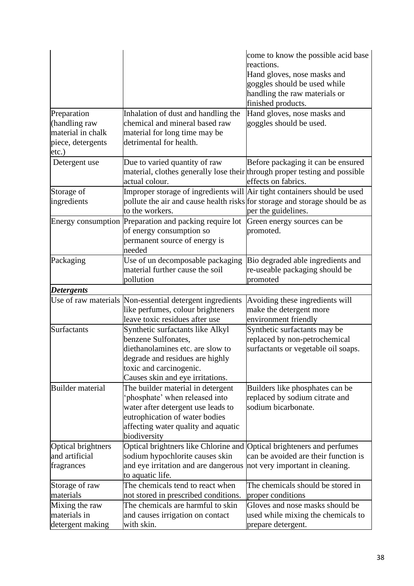| Preparation<br>(handling raw<br>material in chalk<br>piece, detergents | Inhalation of dust and handling the<br>chemical and mineral based raw<br>material for long time may be<br>detrimental for health.                                                                 | come to know the possible acid base<br>reactions.<br>Hand gloves, nose masks and<br>goggles should be used while<br>handling the raw materials or<br>finished products.<br>Hand gloves, nose masks and<br>goggles should be used. |
|------------------------------------------------------------------------|---------------------------------------------------------------------------------------------------------------------------------------------------------------------------------------------------|-----------------------------------------------------------------------------------------------------------------------------------------------------------------------------------------------------------------------------------|
| etc.)                                                                  |                                                                                                                                                                                                   |                                                                                                                                                                                                                                   |
| Detergent use                                                          | Due to varied quantity of raw<br>material, clothes generally lose their through proper testing and possible<br>actual colour.                                                                     | Before packaging it can be ensured<br>effects on fabrics.                                                                                                                                                                         |
| Storage of<br>ingredients                                              | Improper storage of ingredients will Air tight containers should be used<br>pollute the air and cause health risks for storage and storage should be as<br>to the workers.                        | per the guidelines.                                                                                                                                                                                                               |
|                                                                        | Energy consumption Preparation and packing require lot<br>of energy consumption so<br>permanent source of energy is<br>needed                                                                     | Green energy sources can be<br>promoted.                                                                                                                                                                                          |
| Packaging                                                              | Use of un decomposable packaging<br>material further cause the soil<br>pollution                                                                                                                  | Bio degraded able ingredients and<br>re-useable packaging should be<br>promoted                                                                                                                                                   |
| <b>Detergents</b>                                                      |                                                                                                                                                                                                   |                                                                                                                                                                                                                                   |
|                                                                        | Use of raw materials Non-essential detergent ingredients<br>like perfumes, colour brighteners<br>leave toxic residues after use                                                                   | Avoiding these ingredients will<br>make the detergent more<br>environment friendly                                                                                                                                                |
| <b>Surfactants</b>                                                     | Synthetic surfactants like Alkyl<br>benzene Sulfonates,<br>diethanolamines etc. are slow to<br>degrade and residues are highly<br>toxic and carcinogenic.<br>Causes skin and eye irritations.     | Synthetic surfactants may be<br>replaced by non-petrochemical<br>surfactants or vegetable oil soaps.                                                                                                                              |
| <b>Builder</b> material                                                | The builder material in detergent<br>phosphate' when released into<br>water after detergent use leads to<br>eutrophication of water bodies<br>affecting water quality and aquatic<br>biodiversity | Builders like phosphates can be<br>replaced by sodium citrate and<br>sodium bicarbonate.                                                                                                                                          |
| Optical brightners                                                     | Optical brightners like Chlorine and Optical brighteners and perfumes                                                                                                                             |                                                                                                                                                                                                                                   |
| and artificial<br>fragrances                                           | sodium hypochlorite causes skin<br>and eye irritation and are dangerous<br>to aquatic life.                                                                                                       | can be avoided are their function is<br>not very important in cleaning.                                                                                                                                                           |
| Storage of raw                                                         | The chemicals tend to react when                                                                                                                                                                  | The chemicals should be stored in                                                                                                                                                                                                 |
| materials                                                              | not stored in prescribed conditions.                                                                                                                                                              | proper conditions                                                                                                                                                                                                                 |
| Mixing the raw<br>materials in                                         | The chemicals are harmful to skin<br>and causes irrigation on contact                                                                                                                             | Gloves and nose masks should be<br>used while mixing the chemicals to                                                                                                                                                             |
| detergent making                                                       | with skin.                                                                                                                                                                                        | prepare detergent.                                                                                                                                                                                                                |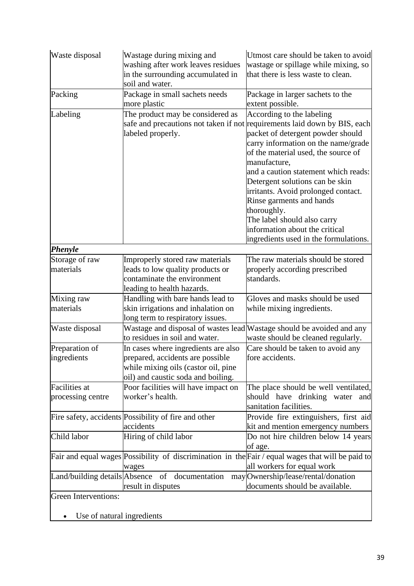| Waste disposal                            | Wastage during mixing and<br>washing after work leaves residues<br>in the surrounding accumulated in<br>soil and water.                              | Utmost care should be taken to avoid<br>wastage or spillage while mixing, so<br>that there is less waste to clean.                                                                                                                                                                                                                                                                                                                                                                                               |
|-------------------------------------------|------------------------------------------------------------------------------------------------------------------------------------------------------|------------------------------------------------------------------------------------------------------------------------------------------------------------------------------------------------------------------------------------------------------------------------------------------------------------------------------------------------------------------------------------------------------------------------------------------------------------------------------------------------------------------|
| Packing                                   | Package in small sachets needs<br>more plastic                                                                                                       | Package in larger sachets to the<br>extent possible.                                                                                                                                                                                                                                                                                                                                                                                                                                                             |
| Labeling                                  | The product may be considered as<br>labeled properly.                                                                                                | According to the labeling<br>safe and precautions not taken if not requirements laid down by BIS, each<br>packet of detergent powder should<br>carry information on the name/grade<br>of the material used, the source of<br>manufacture,<br>and a caution statement which reads:<br>Detergent solutions can be skin<br>irritants. Avoid prolonged contact.<br>Rinse garments and hands<br>thoroughly.<br>The label should also carry<br>information about the critical<br>ingredients used in the formulations. |
| <b>Phenyle</b>                            |                                                                                                                                                      |                                                                                                                                                                                                                                                                                                                                                                                                                                                                                                                  |
| Storage of raw<br>materials               | Improperly stored raw materials<br>leads to low quality products or<br>contaminate the environment<br>leading to health hazards.                     | The raw materials should be stored<br>properly according prescribed<br>standards.                                                                                                                                                                                                                                                                                                                                                                                                                                |
| Mixing raw<br>materials                   | Handling with bare hands lead to<br>skin irrigations and inhalation on<br>long term to respiratory issues.                                           | Gloves and masks should be used<br>while mixing ingredients.                                                                                                                                                                                                                                                                                                                                                                                                                                                     |
| Waste disposal                            | to residues in soil and water.                                                                                                                       | Wastage and disposal of wastes lead Wastage should be avoided and any<br>waste should be cleaned regularly.                                                                                                                                                                                                                                                                                                                                                                                                      |
| Preparation of<br>ingredients             | In cases where ingredients are also<br>prepared, accidents are possible<br>while mixing oils (castor oil, pine<br>oil) and caustic soda and boiling. | Care should be taken to avoid any<br>fore accidents.                                                                                                                                                                                                                                                                                                                                                                                                                                                             |
| <b>Facilities</b> at<br>processing centre | Poor facilities will have impact on<br>worker's health.                                                                                              | The place should be well ventilated,<br>should have drinking water and<br>sanitation facilities.                                                                                                                                                                                                                                                                                                                                                                                                                 |
|                                           | Fire safety, accidents Possibility of fire and other<br>accidents                                                                                    | Provide fire extinguishers, first aid<br>kit and mention emergency numbers                                                                                                                                                                                                                                                                                                                                                                                                                                       |
| Child labor                               | Hiring of child labor                                                                                                                                | Do not hire children below 14 years<br>of age.                                                                                                                                                                                                                                                                                                                                                                                                                                                                   |
|                                           | wages                                                                                                                                                | Fair and equal wages Possibility of discrimination in the Fair / equal wages that will be paid to<br>all workers for equal work                                                                                                                                                                                                                                                                                                                                                                                  |
|                                           | Land/building details Absence of documentation<br>result in disputes                                                                                 | may Ownership/lease/rental/donation<br>documents should be available.                                                                                                                                                                                                                                                                                                                                                                                                                                            |
| Green Interventions:                      |                                                                                                                                                      |                                                                                                                                                                                                                                                                                                                                                                                                                                                                                                                  |

• Use of natural ingredients

 $\mathbf{I}$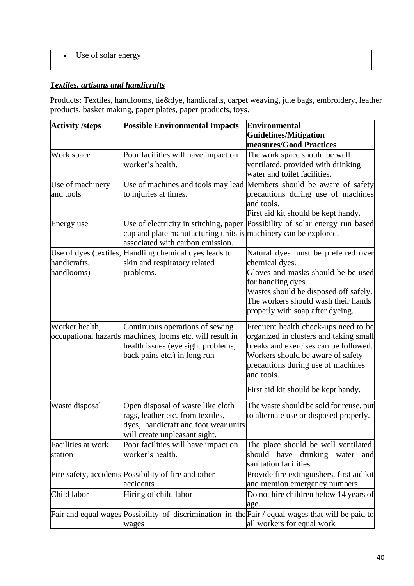• Use of solar energy

# *Textiles, artisans and handicrafts*

Products: Textiles, handlooms, tie&dye, handicrafts, carpet weaving, jute bags, embroidery, leather products, basket making, paper plates, paper products, toys.

| <b>Activity /steps</b> | <b>Possible Environmental Impacts</b>                           | Environmental                                                                                     |
|------------------------|-----------------------------------------------------------------|---------------------------------------------------------------------------------------------------|
|                        |                                                                 | <b>Guidelines/Mitigation</b>                                                                      |
|                        |                                                                 | measures/Good Practices                                                                           |
| Work space             | Poor facilities will have impact on                             | The work space should be well                                                                     |
|                        | worker's health.                                                | ventilated, provided with drinking                                                                |
|                        |                                                                 | water and toilet facilities.                                                                      |
| Use of machinery       |                                                                 | Use of machines and tools may lead Members should be aware of safety                              |
| and tools              | to injuries at times.                                           | precautions during use of machines                                                                |
|                        |                                                                 | and tools.                                                                                        |
|                        |                                                                 | First aid kit should be kept handy.                                                               |
| Energy use             | Use of electricity in stitching, paper                          | Possibility of solar energy run based                                                             |
|                        | cup and plate manufacturing units is machinery can be explored. |                                                                                                   |
|                        | associated with carbon emission.                                |                                                                                                   |
|                        | Use of dyes (textiles, Handling chemical dyes leads to          | Natural dyes must be preferred over                                                               |
| handicrafts,           | skin and respiratory related                                    | chemical dyes.                                                                                    |
| handlooms)             | problems.                                                       | Gloves and masks should be be used                                                                |
|                        |                                                                 | for handling dyes.                                                                                |
|                        |                                                                 | Wastes should be disposed off safely.                                                             |
|                        |                                                                 | The workers should wash their hands                                                               |
|                        |                                                                 | properly with soap after dyeing.                                                                  |
| Worker health,         | Continuous operations of sewing                                 | Frequent health check-ups need to be                                                              |
|                        | occupational hazards machines, looms etc. will result in        | organized in clusters and taking small                                                            |
|                        | health issues (eye sight problems,                              | breaks and exercises can be followed.                                                             |
|                        | back pains etc.) in long run                                    | Workers should be aware of safety                                                                 |
|                        |                                                                 | precautions during use of machines                                                                |
|                        |                                                                 | and tools.                                                                                        |
|                        |                                                                 | First aid kit should be kept handy.                                                               |
| Waste disposal         | Open disposal of waste like cloth                               | The waste should be sold for reuse, put                                                           |
|                        | rags, leather etc. from textiles,                               | to alternate use or disposed properly.                                                            |
|                        | dyes, handicraft and foot wear units                            |                                                                                                   |
|                        | will create unpleasant sight.                                   |                                                                                                   |
| Facilities at work     | Poor facilities will have impact on                             | The place should be well ventilated,                                                              |
| station                | worker's health.                                                | should have<br>drinking<br>water<br>and                                                           |
|                        |                                                                 | sanitation facilities.                                                                            |
|                        | Fire safety, accidents Possibility of fire and other            | Provide fire extinguishers, first aid kit                                                         |
|                        | accidents                                                       | and mention emergency numbers                                                                     |
| Child labor            | Hiring of child labor                                           | Do not hire children below 14 years of                                                            |
|                        |                                                                 | age.                                                                                              |
|                        |                                                                 | Fair and equal wages Possibility of discrimination in the Fair / equal wages that will be paid to |
|                        | wages                                                           | all workers for equal work                                                                        |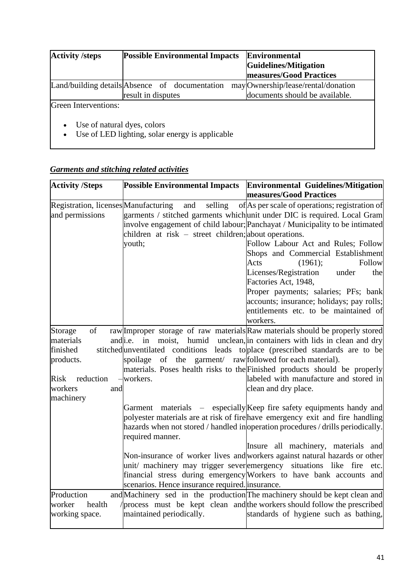| <b>Activity /steps</b>                                | <b>Possible Environmental Impacts</b>           | <b>Environmental</b>                |
|-------------------------------------------------------|-------------------------------------------------|-------------------------------------|
|                                                       |                                                 | Guidelines/Mitigation               |
|                                                       |                                                 | <b>measures/Good Practices</b>      |
|                                                       | Land/building details Absence of documentation  | may Ownership/lease/rental/donation |
|                                                       | result in disputes                              | documents should be available.      |
| Green Interventions:                                  |                                                 |                                     |
| Use of natural dyes, colors<br>$\bullet$<br>$\bullet$ | Use of LED lighting, solar energy is applicable |                                     |

# *Garments and stitching related activities*

| <b>Activity /Steps</b>               | <b>Possible Environmental Impacts</b>                           | <b>Environmental Guidelines/Mitigation</b>                                       |
|--------------------------------------|-----------------------------------------------------------------|----------------------------------------------------------------------------------|
|                                      |                                                                 | measures/Good Practices                                                          |
| Registration, licenses Manufacturing | and<br>selling                                                  | of As per scale of operations; registration of                                   |
| and permissions                      |                                                                 | garments / stitched garments which unit under DIC is required. Local Gram        |
|                                      |                                                                 | involve engagement of child labour; Panchayat / Municipality to be intimated     |
|                                      | children at risk – street children; about operations.           |                                                                                  |
|                                      | youth;                                                          | Follow Labour Act and Rules; Follow                                              |
|                                      |                                                                 | Shops and Commercial Establishment                                               |
|                                      |                                                                 | Follow<br>Acts<br>(1961);                                                        |
|                                      |                                                                 | Licenses/Registration<br>under<br>the<br>Factories Act, 1948,                    |
|                                      |                                                                 | Proper payments; salaries; PFs; bank                                             |
|                                      |                                                                 | accounts; insurance; holidays; pay rolls;                                        |
|                                      |                                                                 | entitlements etc. to be maintained of                                            |
|                                      |                                                                 | workers.                                                                         |
| of<br>Storage                        |                                                                 | raw Improper storage of raw materials Raw materials should be properly stored    |
| materials                            | andi.e. in<br>moist,                                            | humid unclean, in containers with lids in clean and dry                          |
| finished                             |                                                                 | stitched unventilated conditions leads to place (prescribed standards are to be  |
| products.                            | spoilage of the garment/ raw followed for each material).       |                                                                                  |
|                                      |                                                                 | materials. Poses health risks to the Finished products should be properly        |
| Risk<br>reduction                    | -workers.                                                       | labeled with manufacture and stored in                                           |
| workers<br>and                       |                                                                 | clean and dry place.                                                             |
| machinery                            |                                                                 |                                                                                  |
|                                      |                                                                 | Garment materials – especially Keep fire safety equipments handy and             |
|                                      |                                                                 | polyester materials are at risk of fire have emergency exit and fire handling    |
|                                      |                                                                 | hazards when not stored / handled inoperation procedures / drills periodically.  |
|                                      | required manner.                                                | Insure all machinery, materials and                                              |
|                                      |                                                                 | Non-insurance of worker lives and workers against natural hazards or other       |
|                                      | unit/ machinery may trigger severemergency situations like fire | etc.                                                                             |
|                                      |                                                                 | financial stress during emergency Workers to have bank accounts and              |
|                                      | scenarios. Hence insurance required linsurance.                 |                                                                                  |
| Production                           |                                                                 | and Machinery sed in the production The machinery should be kept clean and       |
| worker<br>health                     |                                                                 | $\gamma$ process must be kept clean and the workers should follow the prescribed |
| working space.                       | maintained periodically.                                        | standards of hygiene such as bathing,                                            |
|                                      |                                                                 |                                                                                  |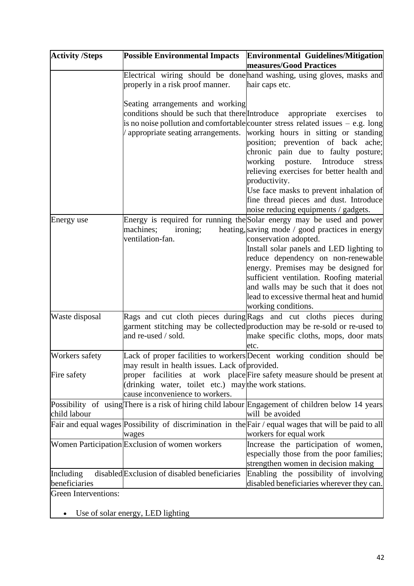| <b>Activity /Steps</b>      | <b>Possible Environmental Impacts</b>                                                          | Environmental Guidelines/Mitigation<br>measures/Good Practices                                                                                                                                                                                                                                                                                       |
|-----------------------------|------------------------------------------------------------------------------------------------|------------------------------------------------------------------------------------------------------------------------------------------------------------------------------------------------------------------------------------------------------------------------------------------------------------------------------------------------------|
|                             |                                                                                                | Electrical wiring should be done hand washing, using gloves, masks and                                                                                                                                                                                                                                                                               |
|                             | properly in a risk proof manner.                                                               | hair caps etc.                                                                                                                                                                                                                                                                                                                                       |
|                             | Seating arrangements and working<br>conditions should be such that there Introduce appropriate | exercises<br>to                                                                                                                                                                                                                                                                                                                                      |
|                             |                                                                                                | is no noise pollution and comfortable counter stress related issues $-$ e.g. long                                                                                                                                                                                                                                                                    |
|                             | appropriate seating arrangements.                                                              | working hours in sitting or standing<br>position; prevention of back ache;<br>chronic pain due to faulty posture;<br>working posture. Introduce<br>stress<br>relieving exercises for better health and<br>productivity.<br>Use face masks to prevent inhalation of<br>fine thread pieces and dust. Introduce<br>noise reducing equipments / gadgets. |
| Energy use                  | ironing;<br>machines;<br>ventilation-fan.                                                      | Energy is required for running the Solar energy may be used and power<br>heating, saving mode / good practices in energy<br>conservation adopted.<br>Install solar panels and LED lighting to<br>reduce dependency on non-renewable<br>energy. Premises may be designed for                                                                          |
|                             |                                                                                                | sufficient ventilation. Roofing material<br>and walls may be such that it does not<br>lead to excessive thermal heat and humid<br>working conditions.                                                                                                                                                                                                |
| Waste disposal              | and re-used / sold.                                                                            | Rags and cut cloth pieces during Rags and cut cloths pieces during<br>garment stitching may be collected production may be re-sold or re-used to<br>make specific cloths, mops, door mats<br>etc.                                                                                                                                                    |
| Workers safety              | may result in health issues. Lack of provided.                                                 | Lack of proper facilities to workers Decent working condition should be                                                                                                                                                                                                                                                                              |
| Fire safety                 | (drinking water, toilet etc.) may the work stations.<br>cause inconvenience to workers.        | proper facilities at work place Fire safety measure should be present at                                                                                                                                                                                                                                                                             |
|                             |                                                                                                | Possibility of using There is a risk of hiring child labour Engagement of children below 14 years                                                                                                                                                                                                                                                    |
| child labour                |                                                                                                | will be avoided                                                                                                                                                                                                                                                                                                                                      |
|                             |                                                                                                | Fair and equal wages Possibility of discrimination in the Fair / equal wages that will be paid to all                                                                                                                                                                                                                                                |
|                             | wages                                                                                          | workers for equal work                                                                                                                                                                                                                                                                                                                               |
|                             | Women Participation Exclusion of women workers                                                 | Increase the participation of women,<br>especially those from the poor families;<br>strengthen women in decision making                                                                                                                                                                                                                              |
| Including<br>beneficiaries  | disabled Exclusion of disabled beneficiaries                                                   | Enabling the possibility of involving<br>disabled beneficiaries wherever they can.                                                                                                                                                                                                                                                                   |
| <b>Green Interventions:</b> |                                                                                                |                                                                                                                                                                                                                                                                                                                                                      |

• Use of solar energy, LED lighting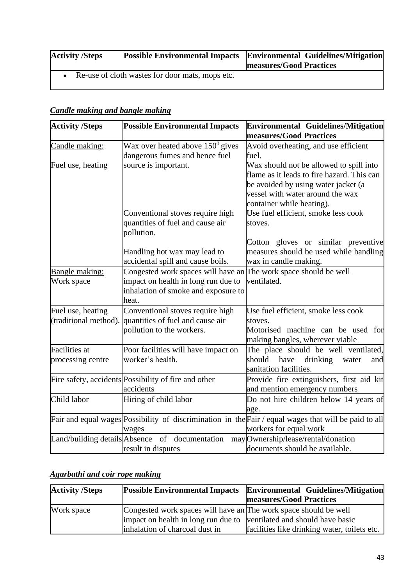| <b>Activity /Steps</b> |                                                 | <b>Possible Environmental Impacts Environmental Guidelines/Mitigation</b><br><b>measures/Good Practices</b> |
|------------------------|-------------------------------------------------|-------------------------------------------------------------------------------------------------------------|
|                        | Re-use of cloth wastes for door mats, mops etc. |                                                                                                             |

## *Candle making and bangle making*

| <b>Activity /Steps</b>        | <b>Possible Environmental Impacts</b>                            | Environmental Guidelines/Mitigation                                                                   |
|-------------------------------|------------------------------------------------------------------|-------------------------------------------------------------------------------------------------------|
|                               |                                                                  | measures/Good Practices                                                                               |
| Candle making:                | Wax over heated above $150^0$ gives                              | Avoid overheating, and use efficient                                                                  |
|                               | dangerous fumes and hence fuel                                   | fuel.                                                                                                 |
| Fuel use, heating             | source is important.                                             | Wax should not be allowed to spill into                                                               |
|                               |                                                                  | flame as it leads to fire hazard. This can                                                            |
|                               |                                                                  | be avoided by using water jacket (a                                                                   |
|                               |                                                                  | vessel with water around the wax                                                                      |
|                               |                                                                  | container while heating).                                                                             |
|                               | Conventional stoves require high                                 | Use fuel efficient, smoke less cook                                                                   |
|                               | quantities of fuel and cause air                                 | stoves.                                                                                               |
|                               | pollution.                                                       |                                                                                                       |
|                               |                                                                  | Cotton gloves or similar preventive                                                                   |
|                               | Handling hot wax may lead to                                     | measures should be used while handling                                                                |
|                               | accidental spill and cause boils.                                | wax in candle making.                                                                                 |
| Bangle making:                | Congested work spaces will have an The work space should be well |                                                                                                       |
| Work space                    | impact on health in long run due to                              | ventilated.                                                                                           |
|                               | inhalation of smoke and exposure to                              |                                                                                                       |
|                               | heat.                                                            |                                                                                                       |
| Fuel use, heating             | Conventional stoves require high                                 | Use fuel efficient, smoke less cook                                                                   |
| (traditional method).         | quantities of fuel and cause air                                 | stoves.                                                                                               |
|                               | pollution to the workers.                                        | Motorised machine can be used for                                                                     |
|                               |                                                                  | making bangles, wherever viable                                                                       |
| <b>Facilities</b> at          | Poor facilities will have impact on                              | The place should be well ventilated,                                                                  |
| processing centre             | worker's health.                                                 | should<br>have<br>drinking<br>water<br>and                                                            |
|                               |                                                                  | sanitation facilities.                                                                                |
|                               | Fire safety, accidents Possibility of fire and other             | Provide fire extinguishers, first aid kit                                                             |
|                               | accidents                                                        | and mention emergency numbers                                                                         |
| Child labor                   | Hiring of child labor                                            | Do not hire children below 14 years of                                                                |
|                               |                                                                  | age.                                                                                                  |
|                               |                                                                  | Fair and equal wages Possibility of discrimination in the Fair / equal wages that will be paid to all |
|                               | wages                                                            | workers for equal work                                                                                |
| Land/building details Absence | of documentation                                                 | may Ownership/lease/rental/donation                                                                   |
|                               | result in disputes                                               | documents should be available.                                                                        |

# *Agarbathi and coir rope making*

| <b>Activity /Steps</b> |                                                                      | <b>Possible Environmental Impacts Environmental Guidelines/Mitigation</b> |
|------------------------|----------------------------------------------------------------------|---------------------------------------------------------------------------|
|                        |                                                                      | <b>measures/Good Practices</b>                                            |
| Work space             | Congested work spaces will have an The work space should be well     |                                                                           |
|                        | impact on health in long run due to ventilated and should have basic |                                                                           |
|                        | inhalation of charcoal dust in                                       | facilities like drinking water, toilets etc.                              |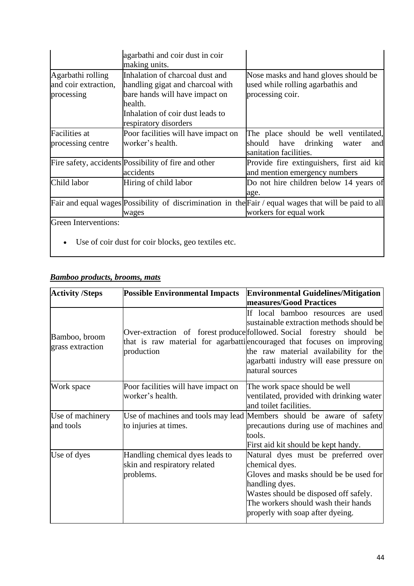|                                                         | agarbathi and coir dust in coir<br>making units.                                                                                                                              |                                                                                                                                 |
|---------------------------------------------------------|-------------------------------------------------------------------------------------------------------------------------------------------------------------------------------|---------------------------------------------------------------------------------------------------------------------------------|
| Agarbathi rolling<br>and coir extraction,<br>processing | Inhalation of charcoal dust and<br>handling gigat and charcoal with<br>bare hands will have impact on<br>health.<br>Inhalation of coir dust leads to<br>respiratory disorders | Nose masks and hand gloves should be<br>used while rolling agarbathis and<br>processing coir.                                   |
| <b>Facilities</b> at<br>processing centre               | Poor facilities will have impact on<br>worker's health.                                                                                                                       | The place should be well ventilated,<br>should have drinking water<br>and<br>sanitation facilities.                             |
|                                                         | Fire safety, accidents Possibility of fire and other<br>accidents                                                                                                             | Provide fire extinguishers, first aid kit<br>and mention emergency numbers                                                      |
| Child labor                                             | Hiring of child labor                                                                                                                                                         | Do not hire children below 14 years of<br>age.                                                                                  |
|                                                         | wages                                                                                                                                                                         | Fair and equal wages Possibility of discrimination in the Fair / equal wages that will be paid to all<br>workers for equal work |
| Green Interventions:                                    |                                                                                                                                                                               |                                                                                                                                 |

• Use of coir dust for coir blocks, geo textiles etc.

#### *Bamboo products, brooms, mats*

| <b>Activity /Steps</b>            | <b>Possible Environmental Impacts</b>                                        | <b>Environmental Guidelines/Mitigation</b>                                                                                                                                                                                                  |
|-----------------------------------|------------------------------------------------------------------------------|---------------------------------------------------------------------------------------------------------------------------------------------------------------------------------------------------------------------------------------------|
|                                   |                                                                              | measures/Good Practices<br>If local bamboo resources are used                                                                                                                                                                               |
| Bamboo, broom<br>grass extraction | Over-extraction of forest produce followed. Social forestry<br>production    | sustainable extraction methods should be<br>should<br>be<br>that is raw material for agarbatti encouraged that focuses on improving<br>the raw material availability for the<br>agarbatti industry will ease pressure on<br>natural sources |
| Work space                        | Poor facilities will have impact on<br>worker's health.                      | The work space should be well<br>ventilated, provided with drinking water<br>and toilet facilities.                                                                                                                                         |
| Use of machinery<br>and tools     | to injuries at times.                                                        | Use of machines and tools may lead Members should be aware of safety<br>precautions during use of machines and<br>tools.<br>First aid kit should be kept handy.                                                                             |
| Use of dyes                       | Handling chemical dyes leads to<br>skin and respiratory related<br>problems. | Natural dyes must be preferred over<br>chemical dyes.<br>Gloves and masks should be be used for<br>handling dyes.<br>Wastes should be disposed off safely.<br>The workers should wash their hands<br>properly with soap after dyeing.       |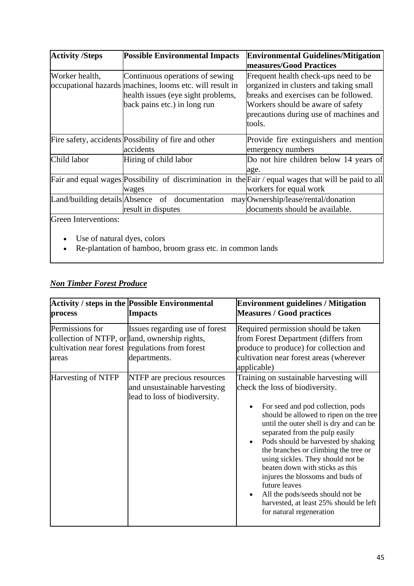| <b>Activity /Steps</b> | <b>Possible Environmental Impacts</b>                                                                                                                             | <b>Environmental Guidelines/Mitigation</b>                                                                                                                                                                       |
|------------------------|-------------------------------------------------------------------------------------------------------------------------------------------------------------------|------------------------------------------------------------------------------------------------------------------------------------------------------------------------------------------------------------------|
|                        |                                                                                                                                                                   | measures/Good Practices                                                                                                                                                                                          |
| Worker health,         | Continuous operations of sewing<br>occupational hazards machines, looms etc. will result in<br>health issues (eye sight problems,<br>back pains etc.) in long run | Frequent health check-ups need to be<br>organized in clusters and taking small<br>breaks and exercises can be followed.<br>Workers should be aware of safety<br>precautions during use of machines and<br>tools. |
|                        | Fire safety, accidents Possibility of fire and other<br>accidents                                                                                                 | Provide fire extinguishers and mention<br>emergency numbers                                                                                                                                                      |
| Child labor            | Hiring of child labor                                                                                                                                             | Do not hire children below 14 years of<br>age.                                                                                                                                                                   |
|                        | wages                                                                                                                                                             | Fair and equal wages Possibility of discrimination in the Fair / equal wages that will be paid to all<br>workers for equal work                                                                                  |
|                        | Land/building details Absence of documentation<br>result in disputes                                                                                              | may Ownership/lease/rental/donation<br>documents should be available.                                                                                                                                            |
| Green Interventions:   |                                                                                                                                                                   |                                                                                                                                                                                                                  |

- Use of natural dyes, colors
- Re-plantation of bamboo, broom grass etc. in common lands

# *Non Timber Forest Produce*

| process                  | <b>Activity / steps in the Possible Environmental</b><br><b>Impacts</b>                                                                             | <b>Environment guidelines / Mitigation</b><br><b>Measures / Good practices</b>                                                                                                                                                                                                                                                                                                                                                                                                                                                                               |
|--------------------------|-----------------------------------------------------------------------------------------------------------------------------------------------------|--------------------------------------------------------------------------------------------------------------------------------------------------------------------------------------------------------------------------------------------------------------------------------------------------------------------------------------------------------------------------------------------------------------------------------------------------------------------------------------------------------------------------------------------------------------|
| Permissions for<br>areas | Issues regarding use of forest<br>collection of NTFP, or land, ownership rights,<br>cultivation near forest regulations from forest<br>departments. | Required permission should be taken<br>from Forest Department (differs from<br>produce to produce) for collection and<br>cultivation near forest areas (wherever<br>applicable)                                                                                                                                                                                                                                                                                                                                                                              |
| Harvesting of NTFP       | NTFP are precious resources<br>and unsustainable harvesting<br>lead to loss of biodiversity.                                                        | Training on sustainable harvesting will<br>check the loss of biodiversity.<br>For seed and pod collection, pods<br>should be allowed to ripen on the tree<br>until the outer shell is dry and can be<br>separated from the pulp easily<br>Pods should be harvested by shaking<br>the branches or climbing the tree or<br>using sickles. They should not be<br>beaten down with sticks as this<br>injures the blossoms and buds of<br>future leaves<br>All the pods/seeds should not be<br>harvested, at least 25% should be left<br>for natural regeneration |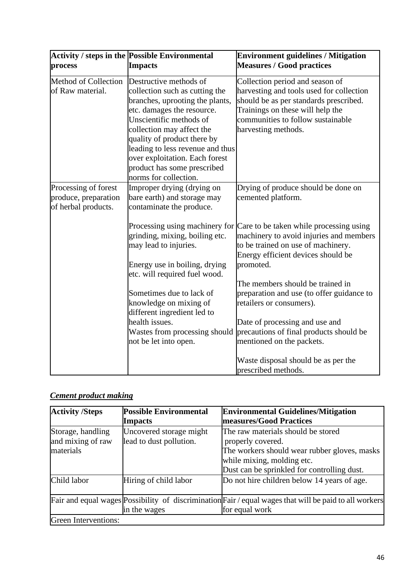| process                                                             | Activity / steps in the Possible Environmental<br><b>Impacts</b>                                                                                                                                                                                                                                                                               | <b>Environment guidelines / Mitigation</b><br><b>Measures / Good practices</b>                                                                                                                                        |
|---------------------------------------------------------------------|------------------------------------------------------------------------------------------------------------------------------------------------------------------------------------------------------------------------------------------------------------------------------------------------------------------------------------------------|-----------------------------------------------------------------------------------------------------------------------------------------------------------------------------------------------------------------------|
| Method of Collection<br>of Raw material.                            | Destructive methods of<br>collection such as cutting the<br>branches, uprooting the plants,<br>etc. damages the resource.<br>Unscientific methods of<br>collection may affect the<br>quality of product there by<br>leading to less revenue and thus<br>over exploitation. Each forest<br>product has some prescribed<br>norms for collection. | Collection period and season of<br>harvesting and tools used for collection<br>should be as per standards prescribed.<br>Trainings on these will help the<br>communities to follow sustainable<br>harvesting methods. |
| Processing of forest<br>produce, preparation<br>of herbal products. | Improper drying (drying on<br>bare earth) and storage may<br>contaminate the produce.                                                                                                                                                                                                                                                          | Drying of produce should be done on<br>cemented platform.                                                                                                                                                             |
|                                                                     | grinding, mixing, boiling etc.<br>may lead to injuries.<br>Energy use in boiling, drying<br>etc. will required fuel wood.                                                                                                                                                                                                                      | Processing using machinery for Care to be taken while processing using<br>machinery to avoid injuries and members<br>to be trained on use of machinery.<br>Energy efficient devices should be<br>promoted.            |
|                                                                     | Sometimes due to lack of<br>knowledge on mixing of<br>different ingredient led to<br>health issues.<br>Wastes from processing should<br>not be let into open.                                                                                                                                                                                  | The members should be trained in<br>preparation and use (to offer guidance to<br>retailers or consumers).<br>Date of processing and use and<br>precautions of final products should be<br>mentioned on the packets.   |
|                                                                     |                                                                                                                                                                                                                                                                                                                                                | Waste disposal should be as per the<br>prescribed methods.                                                                                                                                                            |

# *Cement product making*

| <b>Activity /Steps</b>                              | <b>Possible Environmental</b><br><b>Impacts</b>    | <b>Environmental Guidelines/Mitigation</b><br>measures/Good Practices                                                                                                                |
|-----------------------------------------------------|----------------------------------------------------|--------------------------------------------------------------------------------------------------------------------------------------------------------------------------------------|
| Storage, handling<br>and mixing of raw<br>materials | Uncovered storage might<br>lead to dust pollution. | The raw materials should be stored<br>properly covered.<br>The workers should wear rubber gloves, masks<br>while mixing, molding etc.<br>Dust can be sprinkled for controlling dust. |
| Child labor                                         | Hiring of child labor                              | Do not hire children below 14 years of age.                                                                                                                                          |
|                                                     | in the wages                                       | Fair and equal wages Possibility of discrimination Fair / equal wages that will be paid to all workers<br>for equal work                                                             |
| Green Interventions:                                |                                                    |                                                                                                                                                                                      |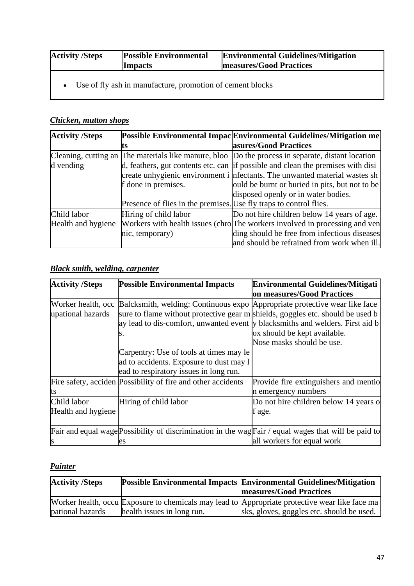| <b>Activity /Steps</b> | <b>Possible Environmental</b> | <b>Environmental Guidelines/Mitigation</b> |
|------------------------|-------------------------------|--------------------------------------------|
|                        | <b>Impacts</b>                | measures/Good Practices                    |
|                        |                               |                                            |

• Use of fly ash in manufacture, promotion of cement blocks

# *Chicken, mutton shops*

| <b>Activity /Steps</b> |                                                                    | Possible Environmental Impac Environmental Guidelines/Mitigation me                               |
|------------------------|--------------------------------------------------------------------|---------------------------------------------------------------------------------------------------|
|                        |                                                                    | asures/Good Practices                                                                             |
|                        |                                                                    | Cleaning, cutting an The materials like manure, bloo Do the process in separate, distant location |
| d vending              |                                                                    | d, feathers, gut contents etc. can if possible and clean the premises with disi                   |
|                        |                                                                    | create unhygienic environment i nfectants. The unwanted material wastes sh                        |
|                        | f done in premises.                                                | ould be burnt or buried in pits, but not to be                                                    |
|                        |                                                                    | disposed openly or in water bodies.                                                               |
|                        | Presence of flies in the premises. Use fly traps to control flies. |                                                                                                   |
| Child labor            | Hiring of child labor                                              | Do not hire children below 14 years of age.                                                       |
| Health and hygiene     |                                                                    | Workers with health issues (chro The workers involved in processing and ven                       |
|                        | nic, temporary)                                                    | ding should be free from infectious diseases                                                      |
|                        |                                                                    | and should be refrained from work when ill.                                                       |

# *Black smith, welding, carpenter*

| <b>Activity /Steps</b>                  | <b>Possible Environmental Impacts</b>                                                                                                                                                                                                                                                          | <b>Environmental Guidelines/Mitigati</b>                     |
|-----------------------------------------|------------------------------------------------------------------------------------------------------------------------------------------------------------------------------------------------------------------------------------------------------------------------------------------------|--------------------------------------------------------------|
|                                         |                                                                                                                                                                                                                                                                                                | on measures/Good Practices                                   |
| Worker health, occ<br>upational hazards | Balcksmith, welding: Continuous expo Appropriate protective wear like face<br>sure to flame without protective gear m shields, goggles etc. should be used b<br>ay lead to dis-comfort, unwanted event y blacksmiths and welders. First aid b<br>S.<br>Carpentry: Use of tools at times may le | ox should be kept available.<br>Nose masks should be use.    |
|                                         | ad to accidents. Exposure to dust may 1<br>ead to respiratory issues in long run.                                                                                                                                                                                                              |                                                              |
| Its                                     | Fire safety, acciden Possibility of fire and other accidents                                                                                                                                                                                                                                   | Provide fire extinguishers and mentio<br>n emergency numbers |
| Child labor<br>Health and hygiene       | Hiring of child labor                                                                                                                                                                                                                                                                          | Do not hire children below 14 years of<br>f age.             |
|                                         | Fair and equal wage Possibility of discrimination in the wag Fair / equal wages that will be paid to<br>es                                                                                                                                                                                     | all workers for equal work                                   |

# *Painter*

| <b>Activity /Steps</b> |                            | Possible Environmental Impacts Environmental Guidelines/Mitigation                             |
|------------------------|----------------------------|------------------------------------------------------------------------------------------------|
|                        |                            | <b>measures/Good Practices</b>                                                                 |
|                        |                            | Worker health, occu Exposure to chemicals may lead to Appropriate protective wear like face ma |
| pational hazards       | health issues in long run. | sks, gloves, goggles etc. should be used.                                                      |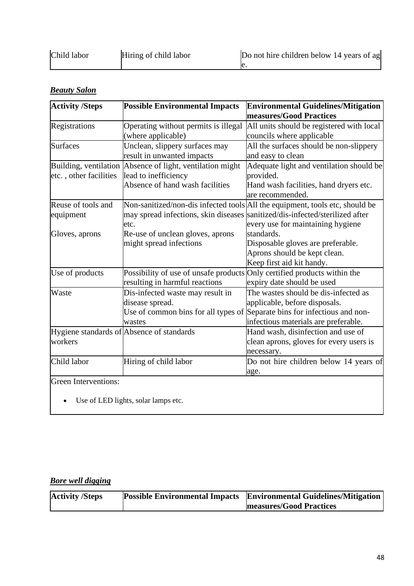| Child labor | Hiring of child labor | Do not hire children below 14 years of ag |
|-------------|-----------------------|-------------------------------------------|
|             |                       |                                           |

# *Beauty Salon*

| <b>Activity /Steps</b>      | <b>Possible Environmental Impacts</b>                                    | <b>Environmental Guidelines/Mitigation</b><br>measures/Good Practices        |  |
|-----------------------------|--------------------------------------------------------------------------|------------------------------------------------------------------------------|--|
| Registrations               | Operating without permits is illegal                                     | All units should be registered with local                                    |  |
|                             | (where applicable)                                                       | councils where applicable                                                    |  |
| <b>Surfaces</b>             | Unclean, slippery surfaces may                                           | All the surfaces should be non-slippery                                      |  |
|                             | result in unwanted impacts                                               | and easy to clean                                                            |  |
| Building, ventilation       | Absence of light, ventilation might                                      | Adequate light and ventilation should be                                     |  |
| etc., other facilities      | lead to inefficiency                                                     | provided.                                                                    |  |
|                             | Absence of hand wash facilities                                          | Hand wash facilities, hand dryers etc.                                       |  |
|                             |                                                                          | are recommended.                                                             |  |
| Reuse of tools and          |                                                                          | Non-sanitized/non-dis infected tools All the equipment, tools etc, should be |  |
| equipment                   |                                                                          | may spread infections, skin diseases sanitized/dis-infected/sterilized after |  |
|                             | etc.                                                                     | every use for maintaining hygiene                                            |  |
| Gloves, aprons              | standards.<br>Re-use of unclean gloves, aprons                           |                                                                              |  |
|                             | might spread infections                                                  | Disposable gloves are preferable.                                            |  |
|                             |                                                                          | Aprons should be kept clean.                                                 |  |
|                             |                                                                          | Keep first aid kit handy.                                                    |  |
| Use of products             | Possibility of use of unsafe products Only certified products within the |                                                                              |  |
|                             | resulting in harmful reactions                                           | expiry date should be used                                                   |  |
| Waste                       | Dis-infected waste may result in                                         | The wastes should be dis-infected as                                         |  |
|                             | disease spread.                                                          | applicable, before disposals.                                                |  |
|                             |                                                                          | Use of common bins for all types of Separate bins for infectious and non-    |  |
|                             | wastes                                                                   | infectious materials are preferable.                                         |  |
|                             | Hygiene standards of Absence of standards                                | Hand wash, disinfection and use of                                           |  |
| workers                     |                                                                          | clean aprons, gloves for every users is                                      |  |
|                             |                                                                          | necessary.                                                                   |  |
| Child labor                 | Hiring of child labor                                                    | Do not hire children below 14 years of                                       |  |
|                             |                                                                          | age.                                                                         |  |
| <b>Green Interventions:</b> |                                                                          |                                                                              |  |

• Use of LED lights, solar lamps etc.

# *Bore well digging*

| <b>Activity /Steps</b> | <b>Possible Environmental Impacts</b> Environmental Guidelines/Mitigation |
|------------------------|---------------------------------------------------------------------------|
|                        | <b>measures/Good Practices</b>                                            |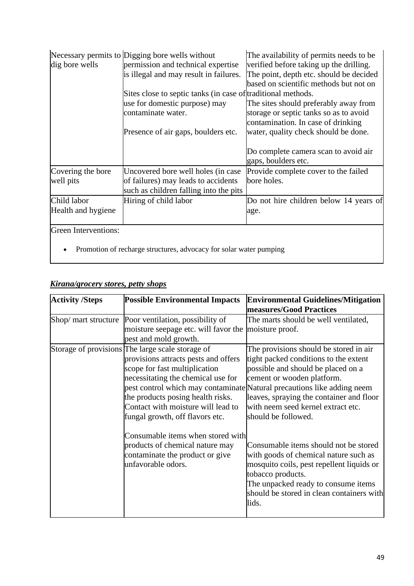| dig bore wells                    | Necessary permits to Digging bore wells without<br>permission and technical expertise<br>is illegal and may result in failures. | The availability of permits needs to be<br>verified before taking up the drilling.<br>The point, depth etc. should be decided<br>based on scientific methods but not on |
|-----------------------------------|---------------------------------------------------------------------------------------------------------------------------------|-------------------------------------------------------------------------------------------------------------------------------------------------------------------------|
|                                   | Sites close to septic tanks (in case of traditional methods.                                                                    |                                                                                                                                                                         |
|                                   | use for domestic purpose) may<br>contaminate water.                                                                             | The sites should preferably away from<br>storage or septic tanks so as to avoid<br>contamination. In case of drinking                                                   |
|                                   | Presence of air gaps, boulders etc.                                                                                             | water, quality check should be done.                                                                                                                                    |
|                                   |                                                                                                                                 | Do complete camera scan to avoid air<br>gaps, boulders etc.                                                                                                             |
| Covering the bore<br>well pits    | Uncovered bore well holes (in case<br>of failures) may leads to accidents<br>such as children falling into the pits             | Provide complete cover to the failed<br>bore holes.                                                                                                                     |
| Child labor<br>Health and hygiene | Hiring of child labor                                                                                                           | Do not hire children below 14 years of<br>age.                                                                                                                          |
| <b>Green Interventions:</b>       | Promotion of recharge structures, advocacy for solar water pumping                                                              |                                                                                                                                                                         |

# *Kirana/grocery stores, petty shops*

| <b>Activity /Steps</b> | <b>Possible Environmental Impacts</b>                                                                                                                                                                                                                                         | <b>Environmental Guidelines/Mitigation</b><br>measures/Good Practices                                                                                                                                                                                                                                                                   |  |
|------------------------|-------------------------------------------------------------------------------------------------------------------------------------------------------------------------------------------------------------------------------------------------------------------------------|-----------------------------------------------------------------------------------------------------------------------------------------------------------------------------------------------------------------------------------------------------------------------------------------------------------------------------------------|--|
| Shop/ mart structure   | Poor ventilation, possibility of<br>moisture seepage etc. will favor the moisture proof.<br>pest and mold growth.                                                                                                                                                             | The marts should be well ventilated,                                                                                                                                                                                                                                                                                                    |  |
|                        | Storage of provisions The large scale storage of<br>provisions attracts pests and offers<br>scope for fast multiplication<br>necessitating the chemical use for<br>the products posing health risks.<br>Contact with moisture will lead to<br>fungal growth, off flavors etc. | The provisions should be stored in air<br>tight packed conditions to the extent<br>possible and should be placed on a<br>cement or wooden platform.<br>pest control which may contaminate Natural precautions like adding neem<br>leaves, spraying the container and floor<br>with neem seed kernel extract etc.<br>should be followed. |  |
|                        | Consumable items when stored with<br>products of chemical nature may<br>contaminate the product or give<br>unfavorable odors.                                                                                                                                                 | Consumable items should not be stored<br>with goods of chemical nature such as<br>mosquito coils, pest repellent liquids or<br>tobacco products.<br>The unpacked ready to consume items<br>should be stored in clean containers with<br>lids.                                                                                           |  |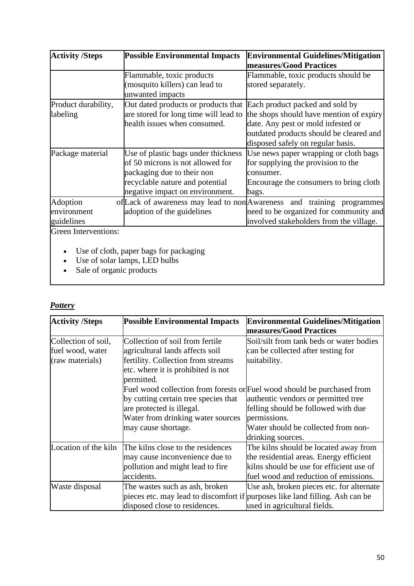| <b>Activity /Steps</b> | <b>Possible Environmental Impacts</b>                               | <b>Environmental Guidelines/Mitigation</b>                             |  |  |  |
|------------------------|---------------------------------------------------------------------|------------------------------------------------------------------------|--|--|--|
|                        |                                                                     | measures/Good Practices                                                |  |  |  |
|                        | Flammable, toxic products                                           | Flammable, toxic products should be                                    |  |  |  |
|                        | (mosquito killers) can lead to                                      | stored separately.                                                     |  |  |  |
|                        | unwanted impacts                                                    |                                                                        |  |  |  |
| Product durability,    | Out dated products or products that Each product packed and sold by |                                                                        |  |  |  |
| labeling               | are stored for long time will lead to                               | the shops should have mention of expiry                                |  |  |  |
|                        | health issues when consumed.                                        | date. Any pest or mold infested or                                     |  |  |  |
|                        |                                                                     | outdated products should be cleared and                                |  |  |  |
|                        |                                                                     | disposed safely on regular basis.                                      |  |  |  |
| Package material       | Use of plastic bags under thickness                                 | Use news paper wrapping or cloth bags                                  |  |  |  |
|                        | of 50 microns is not allowed for                                    | for supplying the provision to the                                     |  |  |  |
|                        | packaging due to their non                                          | consumer.                                                              |  |  |  |
|                        | recyclable nature and potential                                     | Encourage the consumers to bring cloth                                 |  |  |  |
|                        | negative impact on environment.<br>bags.                            |                                                                        |  |  |  |
| Adoption               |                                                                     | of Lack of awareness may lead to non Awareness and training programmes |  |  |  |
| environment            | adoption of the guidelines                                          | need to be organized for community and                                 |  |  |  |
| guidelines             |                                                                     | involved stakeholders from the village.                                |  |  |  |
| $G$ reen Interventions |                                                                     |                                                                        |  |  |  |

Green Interventions:

- Use of cloth, paper bags for packaging
- Use of solar lamps, LED bulbs
- Sale of organic products

### *Pottery*

| <b>Activity /Steps</b>                                                                                                                                                                                       | <b>Possible Environmental Impacts</b>                                                                                                       | <b>Environmental Guidelines/Mitigation</b><br>measures/Good Practices                                                                                                                                                             |  |
|--------------------------------------------------------------------------------------------------------------------------------------------------------------------------------------------------------------|---------------------------------------------------------------------------------------------------------------------------------------------|-----------------------------------------------------------------------------------------------------------------------------------------------------------------------------------------------------------------------------------|--|
| Collection of soil from fertile<br>Collection of soil,<br>agricultural lands affects soil<br>fuel wood, water<br>fertility. Collection from streams<br>(raw materials)<br>etc. where it is prohibited is not |                                                                                                                                             | Soil/silt from tank beds or water bodies<br>can be collected after testing for<br>suitability.                                                                                                                                    |  |
|                                                                                                                                                                                                              | permitted.<br>by cutting certain tree species that<br>are protected is illegal.<br>Water from drinking water sources<br>may cause shortage. | Fuel wood collection from forests or Fuel wood should be purchased from<br>authentic vendors or permitted tree<br>felling should be followed with due<br>permissions.<br>Water should be collected from non-<br>drinking sources. |  |
| Location of the kiln                                                                                                                                                                                         | The kilns close to the residences<br>may cause inconvenience due to<br>pollution and might lead to fire<br>accidents.                       | The kilns should be located away from<br>the residential areas. Energy efficient<br>kilns should be use for efficient use of<br>fuel wood and reduction of emissions.                                                             |  |
| Waste disposal                                                                                                                                                                                               | The wastes such as ash, broken<br>disposed close to residences.                                                                             | Use ash, broken pieces etc. for alternate<br>pieces etc. may lead to discomfort if purposes like land filling. Ash can be<br>used in agricultural fields.                                                                         |  |